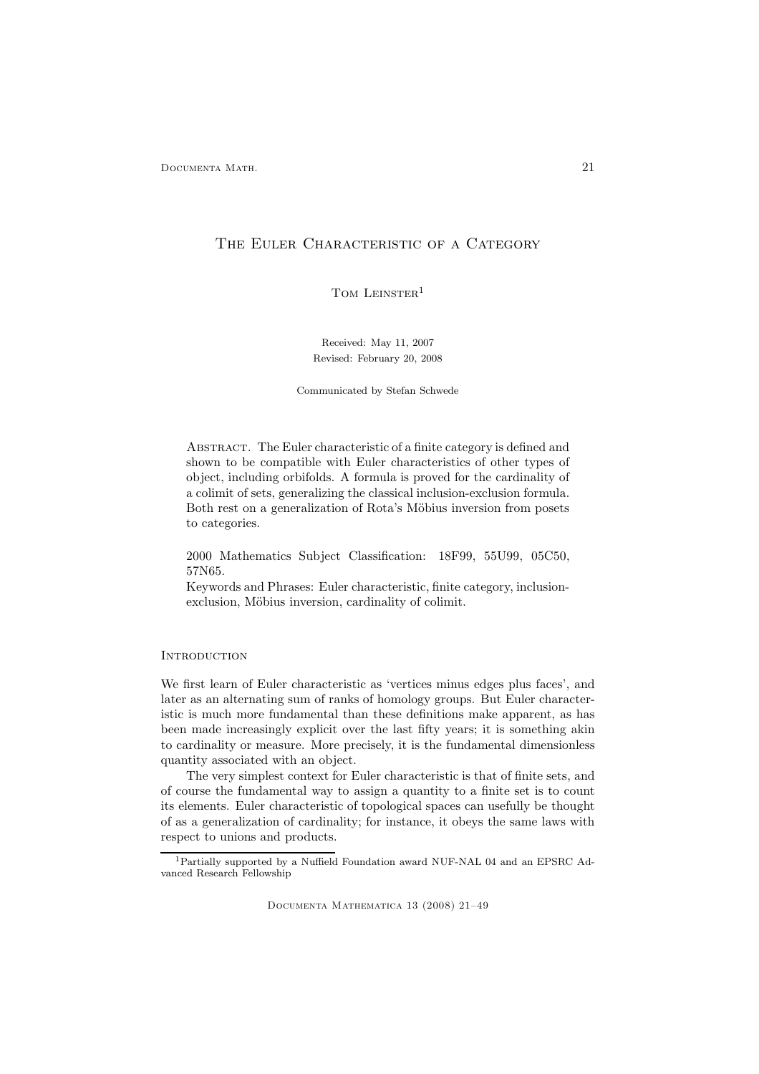## THE EULER CHARACTERISTIC OF A CATEGORY

TOM LEINSTER<sup>1</sup>

Received: May 11, 2007 Revised: February 20, 2008

Communicated by Stefan Schwede

Abstract. The Euler characteristic of a finite category is defined and shown to be compatible with Euler characteristics of other types of object, including orbifolds. A formula is proved for the cardinality of a colimit of sets, generalizing the classical inclusion-exclusion formula. Both rest on a generalization of Rota's Möbius inversion from posets to categories.

2000 Mathematics Subject Classification: 18F99, 55U99, 05C50, 57N65.

Keywords and Phrases: Euler characteristic, finite category, inclusionexclusion, Möbius inversion, cardinality of colimit.

## **INTRODUCTION**

We first learn of Euler characteristic as 'vertices minus edges plus faces', and later as an alternating sum of ranks of homology groups. But Euler characteristic is much more fundamental than these definitions make apparent, as has been made increasingly explicit over the last fifty years; it is something akin to cardinality or measure. More precisely, it is the fundamental dimensionless quantity associated with an object.

The very simplest context for Euler characteristic is that of finite sets, and of course the fundamental way to assign a quantity to a finite set is to count its elements. Euler characteristic of topological spaces can usefully be thought of as a generalization of cardinality; for instance, it obeys the same laws with respect to unions and products.

<sup>1</sup>Partially supported by a Nuffield Foundation award NUF-NAL 04 and an EPSRC Advanced Research Fellowship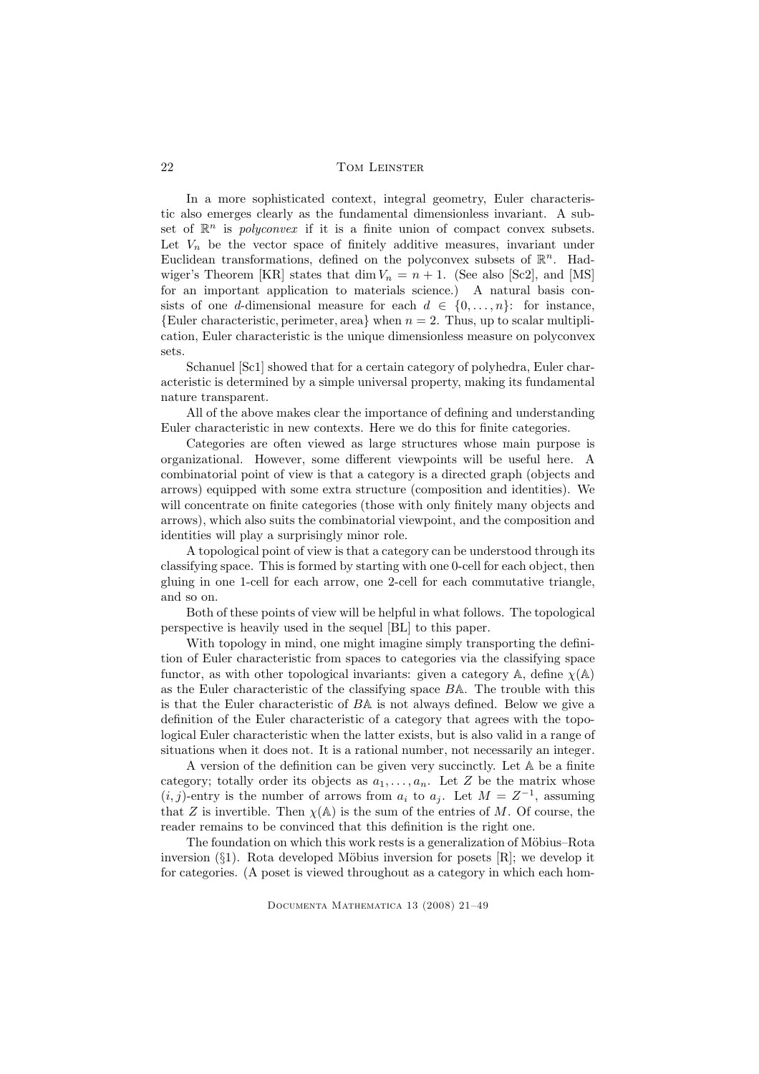In a more sophisticated context, integral geometry, Euler characteristic also emerges clearly as the fundamental dimensionless invariant. A subset of  $\mathbb{R}^n$  is *polyconvex* if it is a finite union of compact convex subsets. Let  $V_n$  be the vector space of finitely additive measures, invariant under Euclidean transformations, defined on the polyconvex subsets of  $\mathbb{R}^n$ . Hadwiger's Theorem [KR] states that dim  $V_n = n + 1$ . (See also [Sc2], and [MS] for an important application to materials science.) A natural basis consists of one d-dimensional measure for each  $d \in \{0, \ldots, n\}$ : for instance, {Euler characteristic, perimeter, area} when  $n = 2$ . Thus, up to scalar multiplication, Euler characteristic is the unique dimensionless measure on polyconvex sets.

Schanuel [Sc1] showed that for a certain category of polyhedra, Euler characteristic is determined by a simple universal property, making its fundamental nature transparent.

All of the above makes clear the importance of defining and understanding Euler characteristic in new contexts. Here we do this for finite categories.

Categories are often viewed as large structures whose main purpose is organizational. However, some different viewpoints will be useful here. A combinatorial point of view is that a category is a directed graph (objects and arrows) equipped with some extra structure (composition and identities). We will concentrate on finite categories (those with only finitely many objects and arrows), which also suits the combinatorial viewpoint, and the composition and identities will play a surprisingly minor role.

A topological point of view is that a category can be understood through its classifying space. This is formed by starting with one 0-cell for each object, then gluing in one 1-cell for each arrow, one 2-cell for each commutative triangle, and so on.

Both of these points of view will be helpful in what follows. The topological perspective is heavily used in the sequel [BL] to this paper.

With topology in mind, one might imagine simply transporting the definition of Euler characteristic from spaces to categories via the classifying space functor, as with other topological invariants: given a category A, define  $\chi(A)$ as the Euler characteristic of the classifying space BA. The trouble with this is that the Euler characteristic of BA is not always defined. Below we give a definition of the Euler characteristic of a category that agrees with the topological Euler characteristic when the latter exists, but is also valid in a range of situations when it does not. It is a rational number, not necessarily an integer.

A version of the definition can be given very succinctly. Let A be a finite category; totally order its objects as  $a_1, \ldots, a_n$ . Let Z be the matrix whose  $(i, j)$ -entry is the number of arrows from  $a_i$  to  $a_j$ . Let  $M = Z^{-1}$ , assuming that Z is invertible. Then  $\chi$ ( $\mathbb{A}$ ) is the sum of the entries of M. Of course, the reader remains to be convinced that this definition is the right one.

The foundation on which this work rests is a generalization of Möbius–Rota inversion  $(\S1)$ . Rota developed Möbius inversion for posets [R]; we develop it for categories. (A poset is viewed throughout as a category in which each hom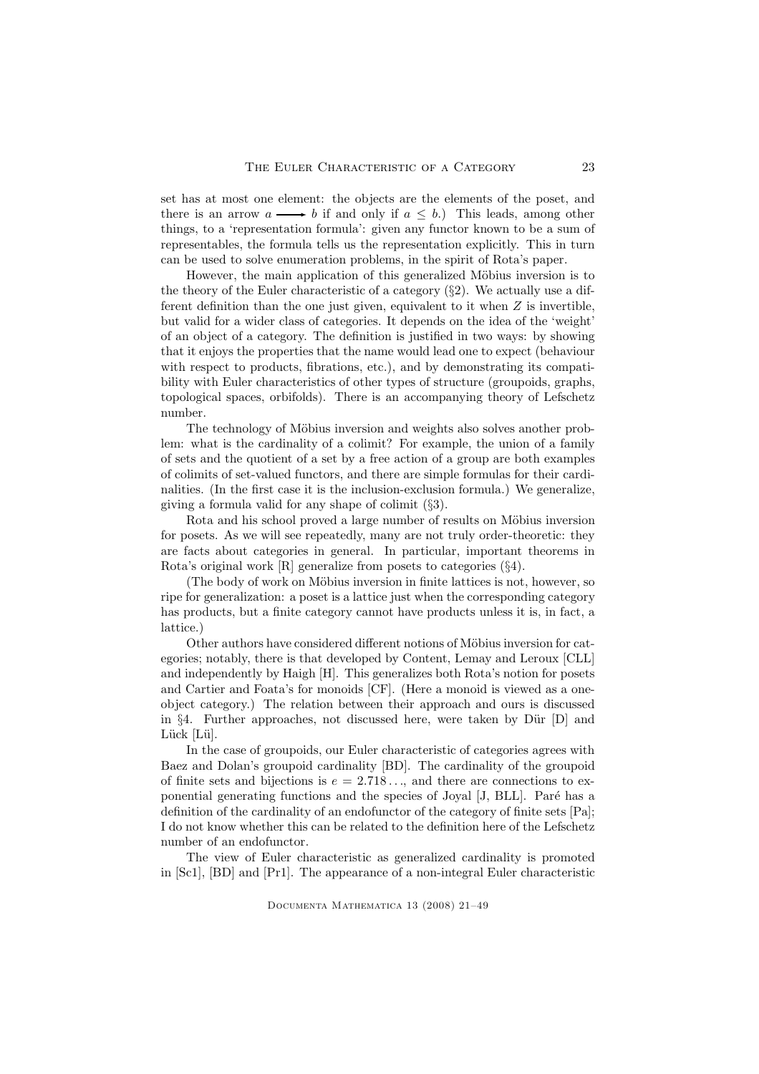set has at most one element: the objects are the elements of the poset, and there is an arrow  $a \longrightarrow b$  if and only if  $a \leq b$ .) This leads, among other things, to a 'representation formula': given any functor known to be a sum of representables, the formula tells us the representation explicitly. This in turn can be used to solve enumeration problems, in the spirit of Rota's paper.

However, the main application of this generalized Möbius inversion is to the theory of the Euler characteristic of a category  $(\S_2)$ . We actually use a different definition than the one just given, equivalent to it when  $Z$  is invertible, but valid for a wider class of categories. It depends on the idea of the 'weight' of an object of a category. The definition is justified in two ways: by showing that it enjoys the properties that the name would lead one to expect (behaviour with respect to products, fibrations, etc.), and by demonstrating its compatibility with Euler characteristics of other types of structure (groupoids, graphs, topological spaces, orbifolds). There is an accompanying theory of Lefschetz number.

The technology of Möbius inversion and weights also solves another problem: what is the cardinality of a colimit? For example, the union of a family of sets and the quotient of a set by a free action of a group are both examples of colimits of set-valued functors, and there are simple formulas for their cardinalities. (In the first case it is the inclusion-exclusion formula.) We generalize, giving a formula valid for any shape of colimit (§3).

Rota and his school proved a large number of results on Möbius inversion for posets. As we will see repeatedly, many are not truly order-theoretic: they are facts about categories in general. In particular, important theorems in Rota's original work [R] generalize from posets to categories (§4).

(The body of work on Möbius inversion in finite lattices is not, however, so ripe for generalization: a poset is a lattice just when the corresponding category has products, but a finite category cannot have products unless it is, in fact, a lattice.)

Other authors have considered different notions of Möbius inversion for categories; notably, there is that developed by Content, Lemay and Leroux [CLL] and independently by Haigh [H]. This generalizes both Rota's notion for posets and Cartier and Foata's for monoids [CF]. (Here a monoid is viewed as a oneobject category.) The relation between their approach and ours is discussed in §4. Further approaches, not discussed here, were taken by Dür  $[D]$  and Lück [Lü].

In the case of groupoids, our Euler characteristic of categories agrees with Baez and Dolan's groupoid cardinality [BD]. The cardinality of the groupoid of finite sets and bijections is  $e = 2.718...$ , and there are connections to exponential generating functions and the species of Joyal [J, BLL]. Paré has a definition of the cardinality of an endofunctor of the category of finite sets [Pa]; I do not know whether this can be related to the definition here of the Lefschetz number of an endofunctor.

The view of Euler characteristic as generalized cardinality is promoted in [Sc1], [BD] and [Pr1]. The appearance of a non-integral Euler characteristic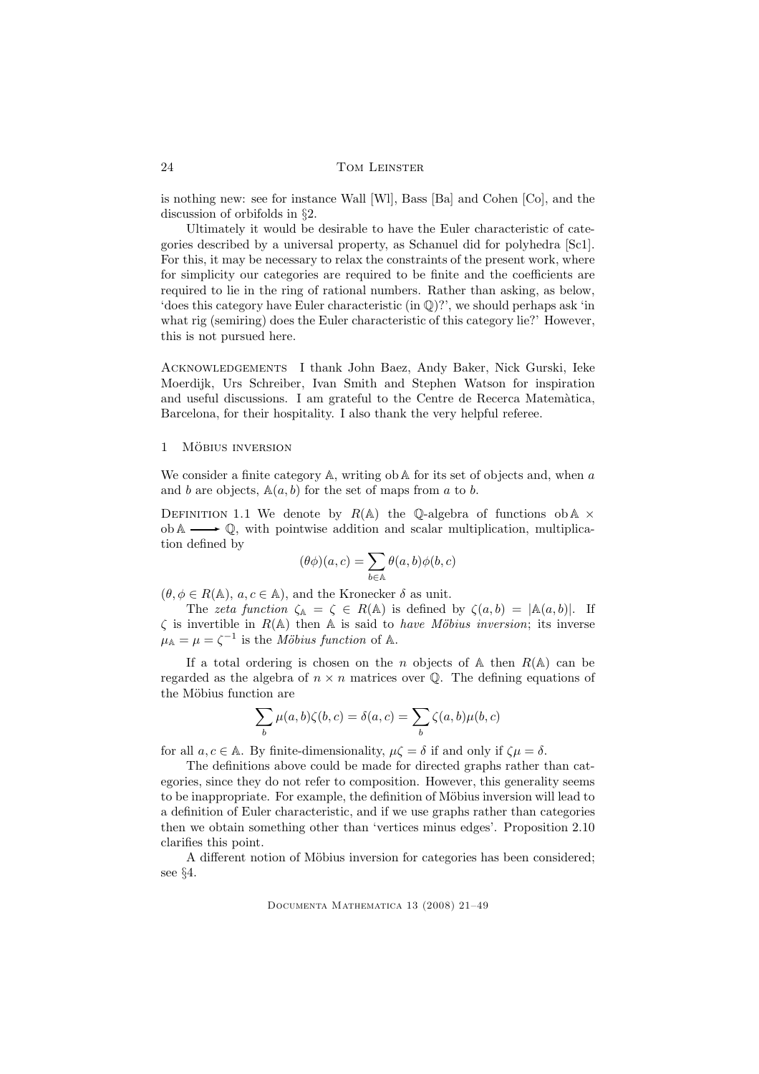is nothing new: see for instance Wall [Wl], Bass [Ba] and Cohen [Co], and the discussion of orbifolds in §2.

Ultimately it would be desirable to have the Euler characteristic of categories described by a universal property, as Schanuel did for polyhedra [Sc1]. For this, it may be necessary to relax the constraints of the present work, where for simplicity our categories are required to be finite and the coefficients are required to lie in the ring of rational numbers. Rather than asking, as below, 'does this category have Euler characteristic (in Q)?', we should perhaps ask 'in what rig (semiring) does the Euler characteristic of this category lie?' However, this is not pursued here.

Acknowledgements I thank John Baez, Andy Baker, Nick Gurski, Ieke Moerdijk, Urs Schreiber, Ivan Smith and Stephen Watson for inspiration and useful discussions. I am grateful to the Centre de Recerca Matemàtica, Barcelona, for their hospitality. I also thank the very helpful referee.

#### 1 MÖBIUS INVERSION

We consider a finite category  $A$ , writing ob  $A$  for its set of objects and, when a and b are objects,  $A(a, b)$  for the set of maps from a to b.

DEFINITION 1.1 We denote by  $R(A)$  the Q-algebra of functions ob  $A \times$  $ob \mathbb{A} \longrightarrow \mathbb{Q}$ , with pointwise addition and scalar multiplication, multiplication defined by

$$
(\theta \phi)(a,c) = \sum_{b \in \mathbb{A}} \theta(a,b) \phi(b,c)
$$

 $(\theta, \phi \in R(\mathbb{A}), a, c \in \mathbb{A})$ , and the Kronecker  $\delta$  as unit.

The zeta function  $\zeta_{\mathbb{A}} = \zeta \in R(\mathbb{A})$  is defined by  $\zeta(a, b) = |\mathbb{A}(a, b)|$ . If  $\zeta$  is invertible in  $R(\mathbb{A})$  then  $\mathbb A$  is said to *have Möbius inversion*; its inverse  $\mu_{\mathbb{A}} = \mu = \zeta^{-1}$  is the *Möbius function* of A.

If a total ordering is chosen on the n objects of  $A$  then  $R(A)$  can be regarded as the algebra of  $n \times n$  matrices over  $\mathbb{O}$ . The defining equations of the Möbius function are

$$
\sum_{b}\mu(a,b)\zeta(b,c)=\delta(a,c)=\sum_{b}\zeta(a,b)\mu(b,c)
$$

for all  $a, c \in A$ . By finite-dimensionality,  $\mu \zeta = \delta$  if and only if  $\zeta \mu = \delta$ .

The definitions above could be made for directed graphs rather than categories, since they do not refer to composition. However, this generality seems to be inappropriate. For example, the definition of Möbius inversion will lead to a definition of Euler characteristic, and if we use graphs rather than categories then we obtain something other than 'vertices minus edges'. Proposition 2.10 clarifies this point.

A different notion of Möbius inversion for categories has been considered; see §4.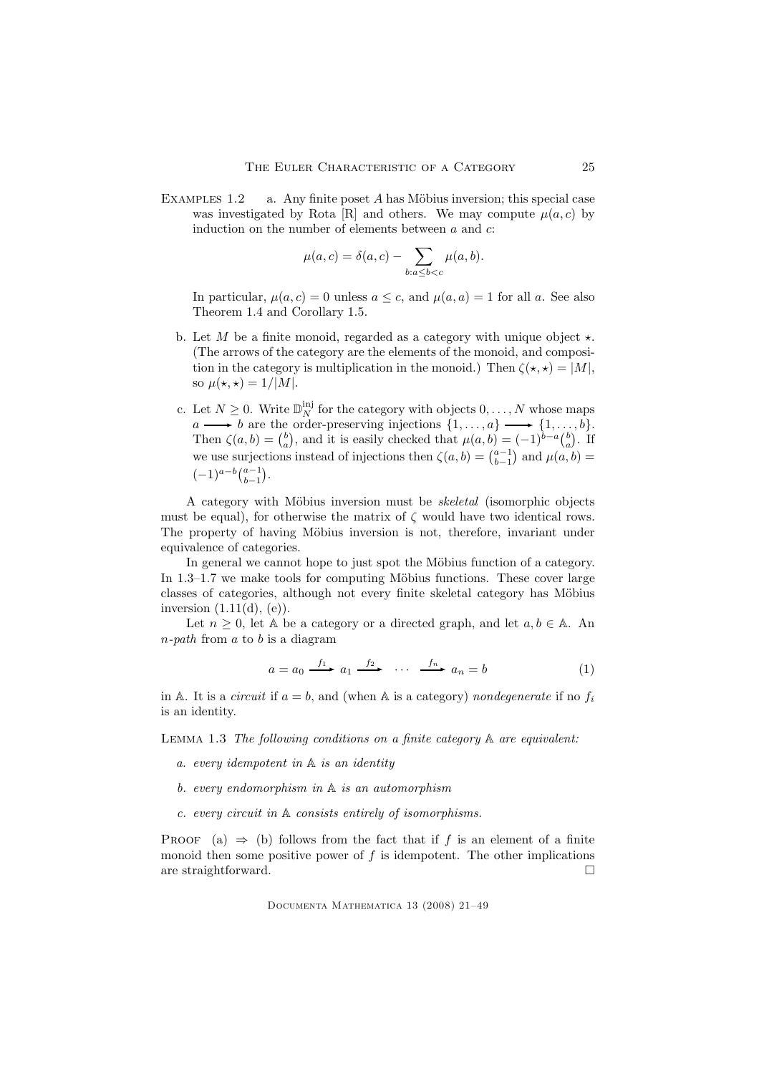EXAMPLES  $1.2$  a. Any finite poset A has Möbius inversion; this special case was investigated by Rota [R] and others. We may compute  $\mu(a, c)$  by induction on the number of elements between  $a$  and  $c$ :

$$
\mu(a,c)=\delta(a,c)-\sum_{b:a\leq b
$$

In particular,  $\mu(a, c) = 0$  unless  $a \leq c$ , and  $\mu(a, a) = 1$  for all a. See also Theorem 1.4 and Corollary 1.5.

- b. Let M be a finite monoid, regarded as a category with unique object  $\star$ . (The arrows of the category are the elements of the monoid, and composition in the category is multiplication in the monoid.) Then  $\zeta(\star, \star) = |M|$ , so  $\mu(\star,\star) = 1/|M|$ .
- c. Let  $N \geq 0$ . Write  $\mathbb{D}_N^{\text{inj}}$  for the category with objects  $0, \ldots, N$  whose maps  $a \longrightarrow b$  are the order-preserving injections  $\{1, \ldots, a\} \longrightarrow \{1, \ldots, b\}.$ Then  $\zeta(a, b) = \binom{b}{a}$ , and it is easily checked that  $\mu(a, b) = (-1)^{b-a} \binom{b}{a}$ . If we use surjections instead of injections then  $\zeta(a, b) = \binom{a-1}{b-1}$  and  $\mu(a, b) =$  $\label{eq:4} (-1)^{a-b}\tbinom{a-1}{b-1}.$

A category with Möbius inversion must be *skeletal* (isomorphic objects must be equal), for otherwise the matrix of  $\zeta$  would have two identical rows. The property of having Möbius inversion is not, therefore, invariant under equivalence of categories.

In general we cannot hope to just spot the Möbius function of a category. In  $1.3-1.7$  we make tools for computing Möbius functions. These cover large classes of categories, although not every finite skeletal category has Möbius inversion  $(1.11(d), (e))$ .

Let  $n \geq 0$ , let A be a category or a directed graph, and let  $a, b \in A$ . An  $n$ -path from a to b is a diagram

$$
a = a_0 \xrightarrow{f_1} a_1 \xrightarrow{f_2} \cdots \xrightarrow{f_n} a_n = b \tag{1}
$$

in A. It is a *circuit* if  $a = b$ , and (when A is a category) nondegenerate if no  $f_i$ is an identity.

LEMMA 1.3 The following conditions on a finite category  $A$  are equivalent:

- a. every idempotent in A is an identity
- b. every endomorphism in A is an automorphism
- c. every circuit in A consists entirely of isomorphisms.

PROOF (a)  $\Rightarrow$  (b) follows from the fact that if f is an element of a finite monoid then some positive power of  $f$  is idempotent. The other implications are straightforward.  $\square$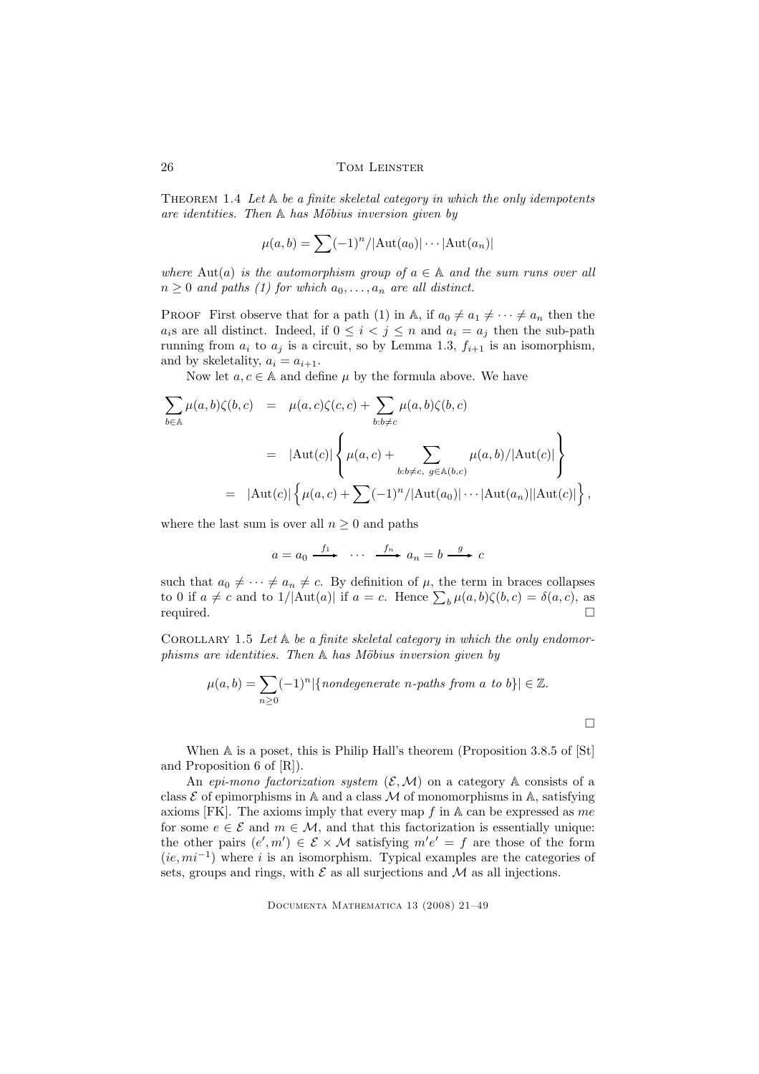THEOREM 1.4 Let  $A$  be a finite skeletal category in which the only idempotents are identities. Then  $A$  has Möbius inversion given by

$$
\mu(a,b) = \sum (-1)^n / |\mathrm{Aut}(a_0)| \cdots |\mathrm{Aut}(a_n)|
$$

where Aut(a) is the automorphism group of  $a \in A$  and the sum runs over all  $n \geq 0$  and paths (1) for which  $a_0, \ldots, a_n$  are all distinct.

PROOF First observe that for a path (1) in A, if  $a_0 \neq a_1 \neq \cdots \neq a_n$  then the  $a_i$ s are all distinct. Indeed, if  $0 \leq i \leq j \leq n$  and  $a_i = a_j$  then the sub-path running from  $a_i$  to  $a_j$  is a circuit, so by Lemma 1.3,  $f_{i+1}$  is an isomorphism, and by skeletality,  $a_i = a_{i+1}$ .

Now let  $a, c \in A$  and define  $\mu$  by the formula above. We have

$$
\sum_{b \in \mathbb{A}} \mu(a, b) \zeta(b, c) = \mu(a, c) \zeta(c, c) + \sum_{b:b \neq c} \mu(a, b) \zeta(b, c)
$$
  

$$
= |\text{Aut}(c)| \left\{ \mu(a, c) + \sum_{b:b \neq c, g \in \mathbb{A}(b, c)} \mu(a, b) / |\text{Aut}(c)| \right\}
$$
  

$$
= |\text{Aut}(c)| \left\{ \mu(a, c) + \sum_{c \in \mathbb{A}(b, c)} \mu(a, b) / |\text{Aut}(a_{c})| \right\},
$$

where the last sum is over all  $n \geq 0$  and paths

$$
a = a_0 \xrightarrow{f_1} \cdots \xrightarrow{f_n} a_n = b \xrightarrow{g} c
$$

such that  $a_0 \neq \cdots \neq a_n \neq c$ . By definition of  $\mu$ , the term in braces collapses to 0 if  $a \neq c$  and to 1/|Aut(a)| if  $a = c$ . Hence  $\sum_b \mu(a, b) \zeta(b, c) = \delta(a, c)$ , as  $\Box$  required.  $\Box$ 

COROLLARY 1.5 Let  $A$  be a finite skeletal category in which the only endomor $phisms$  are identities. Then  $A$  has Möbius inversion given by

$$
\mu(a,b)=\sum_{n\geq 0}(-1)^n|\{nondegenerate\ n\text{-paths from}\ a\ to\ b\}|\in\mathbb{Z}.
$$

 $\Box$ 

When A is a poset, this is Philip Hall's theorem (Proposition 3.8.5 of [St] and Proposition 6 of [R]).

An epi-mono factorization system  $(\mathcal{E}, \mathcal{M})$  on a category A consists of a class  $\mathcal E$  of epimorphisms in A and a class M of monomorphisms in A, satisfying axioms  $[FK]$ . The axioms imply that every map f in A can be expressed as me for some  $e \in \mathcal{E}$  and  $m \in \mathcal{M}$ , and that this factorization is essentially unique: the other pairs  $(e', m') \in \mathcal{E} \times \mathcal{M}$  satisfying  $m'e' = f$  are those of the form  $(ie, mi^{-1})$  where i is an isomorphism. Typical examples are the categories of sets, groups and rings, with  $\mathcal E$  as all surjections and  $\mathcal M$  as all injections.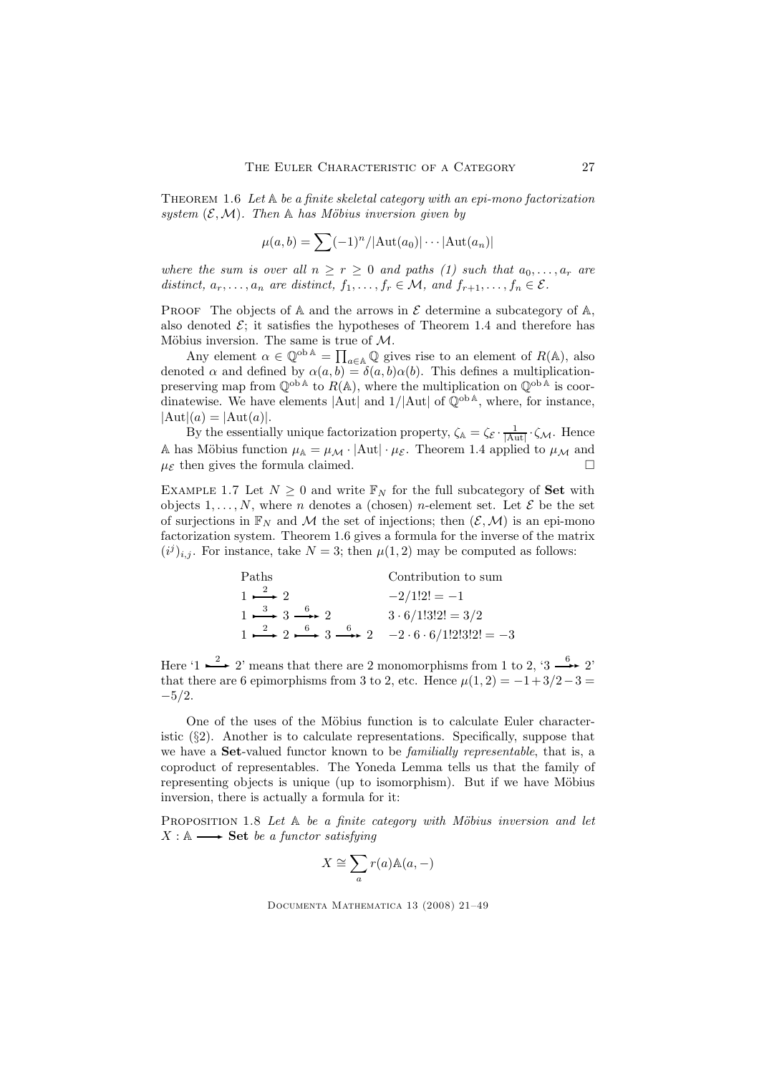THEOREM 1.6 Let  $A$  be a finite skeletal category with an epi-mono factorization system  $(\mathcal{E}, \mathcal{M})$ . Then A has Möbius inversion given by

$$
\mu(a,b) = \sum (-1)^n / |\text{Aut}(a_0)| \cdots |\text{Aut}(a_n)|
$$

where the sum is over all  $n \ge r \ge 0$  and paths (1) such that  $a_0, \ldots, a_r$  are distinct,  $a_r, \ldots, a_n$  are distinct,  $f_1, \ldots, f_r \in \mathcal{M}$ , and  $f_{r+1}, \ldots, f_n \in \mathcal{E}$ .

PROOF The objects of  $A$  and the arrows in  $\mathcal E$  determine a subcategory of  $A$ , also denoted  $\mathcal{E}$ ; it satisfies the hypotheses of Theorem 1.4 and therefore has Möbius inversion. The same is true of  $\mathcal{M}$ .

Any element  $\alpha \in \mathbb{Q}^{\text{ob}\,\mathbb{A}} = \prod_{\alpha \in \mathbb{A}} \mathbb{Q}$  gives rise to an element of  $R(\mathbb{A})$ , also denoted  $\alpha$  and defined by  $\alpha(a, b) = \delta(a, b)\alpha(b)$ . This defines a multiplicationpreserving map from  $\mathbb{Q}^{\text{ob } A}$  to  $R(A)$ , where the multiplication on  $\mathbb{Q}^{\text{ob } A}$  is coordinatewise. We have elements  $\text{Aut}$  and  $1/\text{Aut}$  of  $\mathbb{Q}^{\text{ob A}}$ , where, for instance,  $|Aut|(a) = |Aut(a)|.$ 

By the essentially unique factorization property,  $\zeta_{A} = \zeta_{E} \cdot \frac{1}{|Aut|} \cdot \zeta_{M}$ . Hence A has Möbius function  $\mu_{\mathbb{A}} = \mu_{\mathcal{M}} \cdot |\text{Aut}| \cdot \mu_{\mathcal{E}}$ . Theorem 1.4 applied to  $\mu_{\mathcal{M}}$  and  $\mu_{\mathcal{E}}$  then gives the formula claimed.

EXAMPLE 1.7 Let  $N \geq 0$  and write  $\mathbb{F}_N$  for the full subcategory of **Set** with objects  $1, \ldots, N$ , where *n* denotes a (chosen) *n*-element set. Let  $\mathcal{E}$  be the set of surjections in  $\mathbb{F}_N$  and M the set of injections; then  $(\mathcal{E}, \mathcal{M})$  is an epi-mono factorization system. Theorem 1.6 gives a formula for the inverse of the matrix  $(i^j)_{i,j}$ . For instance, take  $N = 3$ ; then  $\mu(1, 2)$  may be computed as follows:

| Paths                                                                                                    | Contribution to sum      |
|----------------------------------------------------------------------------------------------------------|--------------------------|
| $1 \xrightarrow{2} 2$                                                                                    | $-2/1!2! = -1$           |
| $1 \xrightarrow{3} 3 \xrightarrow{6} 2$                                                                  | $3 \cdot 6/1!3!2! = 3/2$ |
| $1 \xrightarrow{2} 2 \xrightarrow{6} 3 \xrightarrow{6} 2 \xrightarrow{-2 \cdot 6 \cdot 6} 1!2!3!2! = -3$ |                          |

Here '1  $\stackrel{2}{\longrightarrow}$  2' means that there are 2 monomorphisms from 1 to 2, '3  $\stackrel{6}{\longrightarrow}$  2' that there are 6 epimorphisms from 3 to 2, etc. Hence  $\mu(1,2) = -1+3/2-3=$  $-5/2.$ 

One of the uses of the Möbius function is to calculate Euler characteristic  $(\S 2)$ . Another is to calculate representations. Specifically, suppose that we have a **Set**-valued functor known to be *familially representable*, that is, a coproduct of representables. The Yoneda Lemma tells us that the family of representing objects is unique (up to isomorphism). But if we have Möbius inversion, there is actually a formula for it:

PROPOSITION 1.8 Let  $A$  be a finite category with Möbius inversion and let  $X : \mathbb{A} \longrightarrow$  Set be a functor satisfying

$$
X \cong \sum_a r(a) \mathbb{A}(a,-)
$$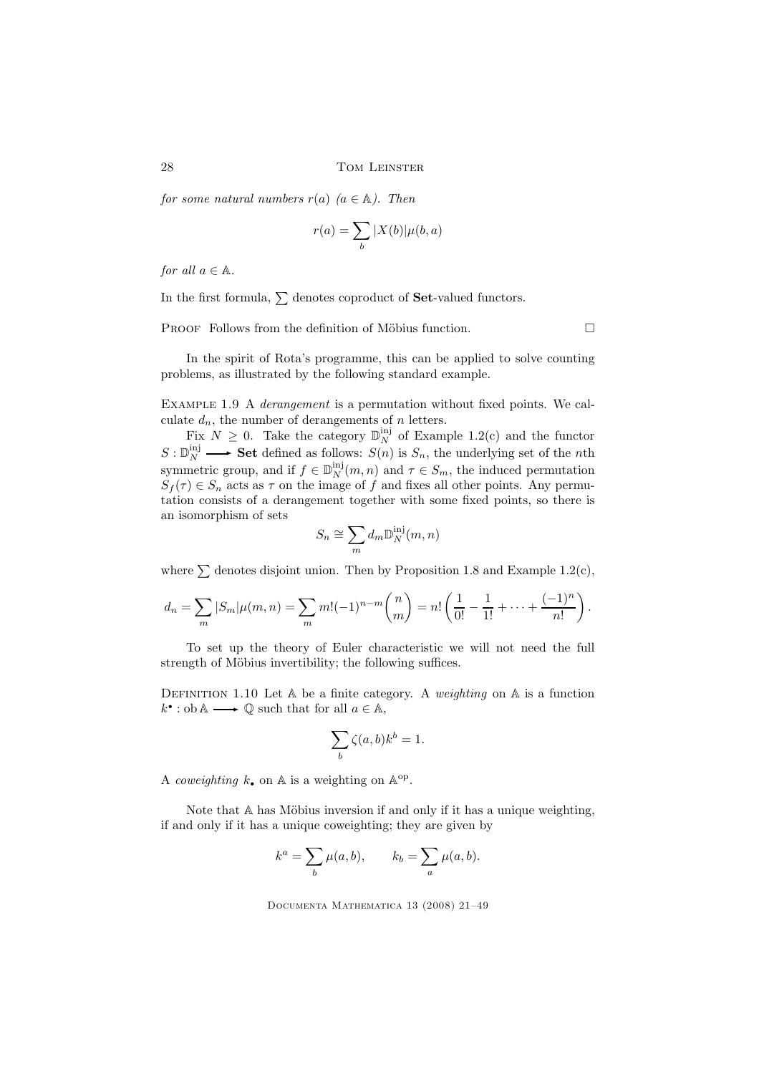for some natural numbers  $r(a)$   $(a \in A)$ . Then

$$
r(a) = \sum_b |X(b)| \mu(b,a)
$$

for all  $a \in \mathbb{A}$ .

In the first formula,  $\sum$  denotes coproduct of **Set**-valued functors.

PROOF Follows from the definition of Möbius function.  $\Box$ 

In the spirit of Rota's programme, this can be applied to solve counting problems, as illustrated by the following standard example.

EXAMPLE 1.9 A *derangement* is a permutation without fixed points. We calculate  $d_n$ , the number of derangements of n letters.

Fix  $N \geq 0$ . Take the category  $\mathbb{D}_N^{\text{inj}}$  of Example 1.2(c) and the functor  $S: \mathbb{D}_N^{\text{inj}} \longrightarrow$  Set defined as follows:  $S(n)$  is  $S_n$ , the underlying set of the *n*th symmetric group, and if  $f \in \mathbb{D}_N^{\text{inj}}(m, n)$  and  $\tau \in S_m$ , the induced permutation  $S_f(\tau) \in S_n$  acts as  $\tau$  on the image of f and fixes all other points. Any permutation consists of a derangement together with some fixed points, so there is an isomorphism of sets

$$
S_n \cong \sum_m d_m \mathbb{D}_N^{\text{inj}}(m,n)
$$

where  $\sum$  denotes disjoint union. Then by Proposition 1.8 and Example 1.2(c),

$$
d_n = \sum_m |S_m| \mu(m, n) = \sum_m m! (-1)^{n-m} {n \choose m} = n! \left(\frac{1}{0!} - \frac{1}{1!} + \dots + \frac{(-1)^n}{n!}\right).
$$

To set up the theory of Euler characteristic we will not need the full strength of Möbius invertibility; the following suffices.

DEFINITION 1.10 Let  $A$  be a finite category. A weighting on  $A$  is a function  $k^{\bullet}:$  ob  $\mathbb{A} \longrightarrow \mathbb{Q}$  such that for all  $a \in \mathbb{A}$ ,

$$
\sum_b \zeta(a,b) k^b = 1.
$$

A coweighting  $k_{\bullet}$  on  $\mathbb{A}$  is a weighting on  $\mathbb{A}^{\text{op}}$ .

Note that  $A$  has Möbius inversion if and only if it has a unique weighting, if and only if it has a unique coweighting; they are given by

$$
k^a = \sum_b \mu(a, b), \qquad k_b = \sum_a \mu(a, b).
$$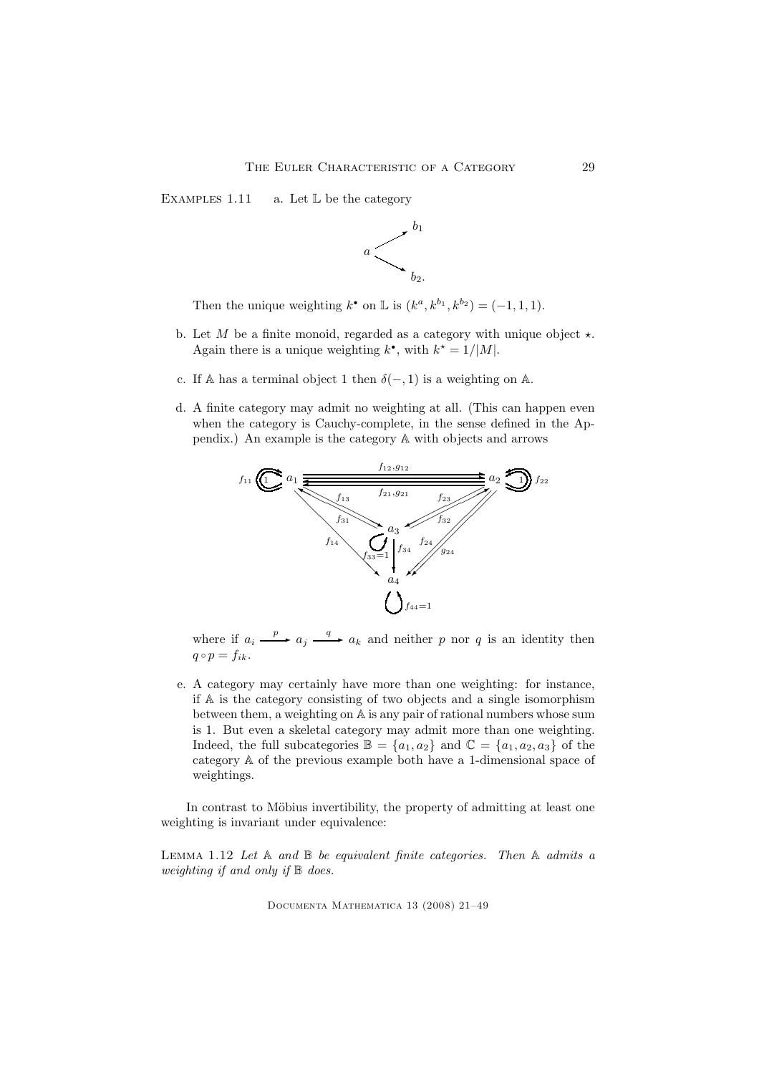EXAMPLES 1.11 a. Let  $\mathbb L$  be the category



Then the unique weighting  $k^{\bullet}$  on  $\mathbb{L}$  is  $(k^a, k^{b_1}, k^{b_2}) = (-1, 1, 1)$ .

- b. Let  $M$  be a finite monoid, regarded as a category with unique object  $\star$ . Again there is a unique weighting  $k^{\bullet}$ , with  $k^{\star} = 1/|M|$ .
- c. If A has a terminal object 1 then  $\delta(-, 1)$  is a weighting on A.
- d. A finite category may admit no weighting at all. (This can happen even when the category is Cauchy-complete, in the sense defined in the Appendix.) An example is the category A with objects and arrows



where if  $a_i \xrightarrow{p} a_j \xrightarrow{q} a_k$  and neither p nor q is an identity then  $q \circ p = f_{ik}.$ 

e. A category may certainly have more than one weighting: for instance, if A is the category consisting of two objects and a single isomorphism between them, a weighting on A is any pair of rational numbers whose sum is 1. But even a skeletal category may admit more than one weighting. Indeed, the full subcategories  $\mathbb{B} = \{a_1, a_2\}$  and  $\mathbb{C} = \{a_1, a_2, a_3\}$  of the category A of the previous example both have a 1-dimensional space of weightings.

In contrast to Möbius invertibility, the property of admitting at least one weighting is invariant under equivalence:

LEMMA 1.12 Let  $A$  and  $B$  be equivalent finite categories. Then  $A$  admits a weighting if and only if B does.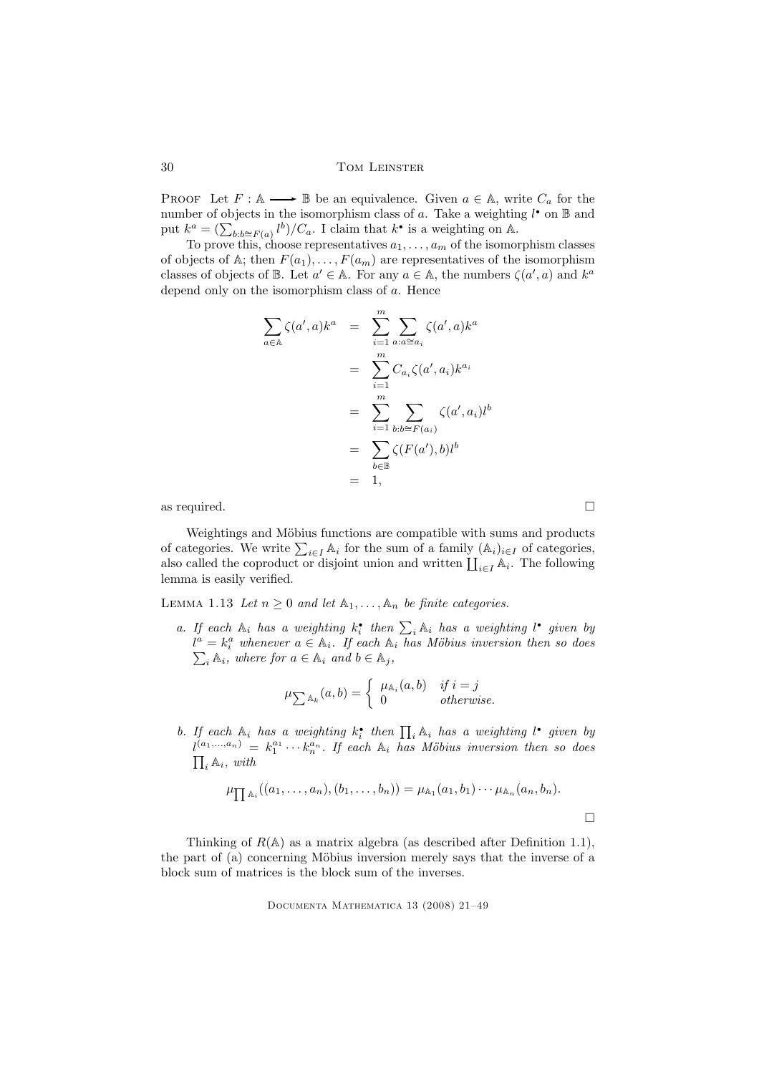PROOF Let  $F : \mathbb{A} \longrightarrow \mathbb{B}$  be an equivalence. Given  $a \in \mathbb{A}$ , write  $C_a$  for the number of objects in the isomorphism class of a. Take a weighting  $l^{\bullet}$  on  $\mathbb{B}$  and put  $k^a = \left(\sum_{b:b \cong F(a)} l^b\right) / C_a$ . I claim that  $k^{\bullet}$  is a weighting on A.

To prove this, choose representatives  $a_1, \ldots, a_m$  of the isomorphism classes of objects of A; then  $F(a_1), \ldots, F(a_m)$  are representatives of the isomorphism classes of objects of  $\mathbb B$ . Let  $a' \in \mathbb A$ . For any  $a \in \mathbb A$ , the numbers  $\zeta(a', a)$  and  $k^a$ depend only on the isomorphism class of a. Hence

$$
\sum_{a \in \mathbb{A}} \zeta(a', a) k^{a} = \sum_{i=1}^{m} \sum_{a : a \cong a_{i}} \zeta(a', a) k^{a}
$$

$$
= \sum_{i=1}^{m} C_{a_{i}} \zeta(a', a_{i}) k^{a_{i}}
$$

$$
= \sum_{i=1}^{m} \sum_{b : b \cong F(a_{i})} \zeta(a', a_{i}) l^{b}
$$

$$
= \sum_{b \in \mathbb{B}} \zeta(F(a'), b) l^{b}
$$

$$
= 1,
$$

as required.  $\Box$ 

Weightings and Möbius functions are compatible with sums and products of categories. We write  $\sum_{i\in I} A_i$  for the sum of a family  $(A_i)_{i\in I}$  of categories, also called the coproduct or disjoint union and written  $\prod_{i\in I} A_i$ . The following lemma is easily verified.

LEMMA 1.13 Let  $n \geq 0$  and let  $\mathbb{A}_1, \ldots, \mathbb{A}_n$  be finite categories.

a. If each  $\mathbb{A}_i$  has a weighting  $k_i^*$  then  $\sum_i \mathbb{A}_i$  has a weighting l<sup>\*</sup> given by  $l^a = k_i^a$  whenever  $a \in \mathbb{A}_i$ . If each  $\mathbb{A}_i$  has Möbius inversion then so does  $\sum_i \mathbb{A}_i$ , where for  $a \in \mathbb{A}_i$  and  $b \in \mathbb{A}_j$ ,

$$
\mu_{\sum \mathbb{A}_k}(a,b) = \left\{ \begin{array}{ll} \mu_{\mathbb{A}_i}(a,b) & \textit{if } i = j \\ 0 & \textit{otherwise.} \end{array} \right.
$$

b. If each  $\mathbb{A}_i$  has a weighting  $k_i^*$  then  $\prod_i \mathbb{A}_i$  has a weighting l<sup>\*</sup> given by  $l^{(a_1,...,a_n)} = k_1^{a_1} \cdots k_n^{a_n}$ . If each  $\mathbb{A}_i$  has Möbius inversion then so does  $\prod_i \mathbb{A}_i$ , with  $\prod_i \mathbb{A}_i$ , with

$$
\mu_{\prod \mathbb{A}_i}((a_1,\ldots,a_n),(b_1,\ldots,b_n)) = \mu_{\mathbb{A}_1}(a_1,b_1)\cdots \mu_{\mathbb{A}_n}(a_n,b_n).
$$

Thinking of  $R(\mathbb{A})$  as a matrix algebra (as described after Definition 1.1), the part of (a) concerning Möbius inversion merely says that the inverse of a block sum of matrices is the block sum of the inverses.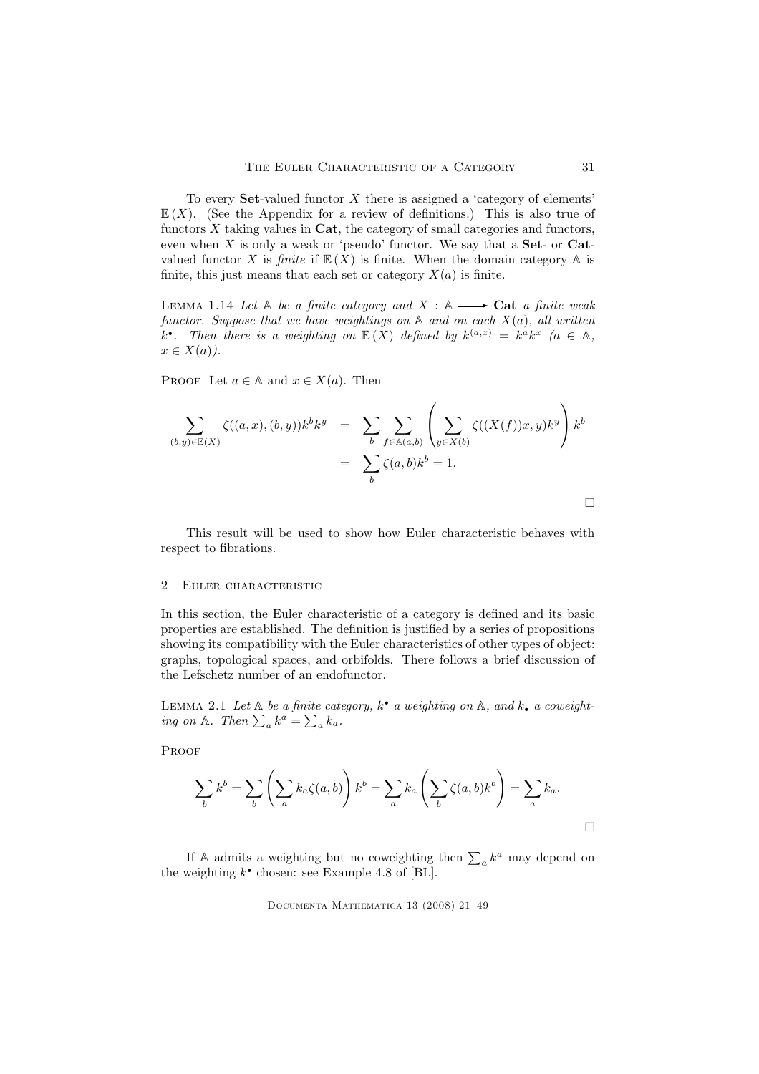To every **Set**-valued functor  $X$  there is assigned a 'category of elements'  $E(X)$ . (See the Appendix for a review of definitions.) This is also true of functors  $X$  taking values in  $\text{Cat}$ , the category of small categories and functors, even when  $X$  is only a weak or 'pseudo' functor. We say that a **Set**- or **Cat**valued functor X is finite if  $\mathbb{E}(X)$  is finite. When the domain category A is finite, this just means that each set or category  $X(a)$  is finite.

LEMMA 1.14 Let  $A$  be a finite category and  $X : A \longrightarrow$  Cat a finite weak functor. Suppose that we have weightings on  $A$  and on each  $X(a)$ , all written k<sup>•</sup>. Then there is a weighting on  $\mathbb{E}(X)$  defined by  $k^{(a,x)} = k^a k^x$  ( $a \in \mathbb{A}$ ,  $x \in X(a)$ ).

PROOF Let  $a \in A$  and  $x \in X(a)$ . Then

$$
\sum_{(b,y)\in\mathbb{E}(X)} \zeta((a,x),(b,y))k^b k^y = \sum_b \sum_{f\in\mathbb{A}(a,b)} \left(\sum_{y\in X(b)} \zeta((X(f))x,y)k^y\right) k^b
$$
  

$$
= \sum_b \zeta(a,b)k^b = 1.
$$

This result will be used to show how Euler characteristic behaves with respect to fibrations.

#### 2 Euler characteristic

In this section, the Euler characteristic of a category is defined and its basic properties are established. The definition is justified by a series of propositions showing its compatibility with the Euler characteristics of other types of object: graphs, topological spaces, and orbifolds. There follows a brief discussion of the Lefschetz number of an endofunctor.

LEMMA 2.1 Let  $\mathbb A$  be a finite category,  $k^{\bullet}$  a weighting on  $\mathbb A$ , and  $k_{\bullet}$  a coweighting on A. Then  $\sum_{a} k^a = \sum_{a} k_a$ .

**PROOF** 

$$
\sum_{b} k^{b} = \sum_{b} \left( \sum_{a} k_{a} \zeta(a, b) \right) k^{b} = \sum_{a} k_{a} \left( \sum_{b} \zeta(a, b) k^{b} \right) = \sum_{a} k_{a}.
$$

If A admits a weighting but no coweighting then  $\sum_{a} k^a$  may depend on the weighting  $k^{\bullet}$  chosen: see Example 4.8 of [BL].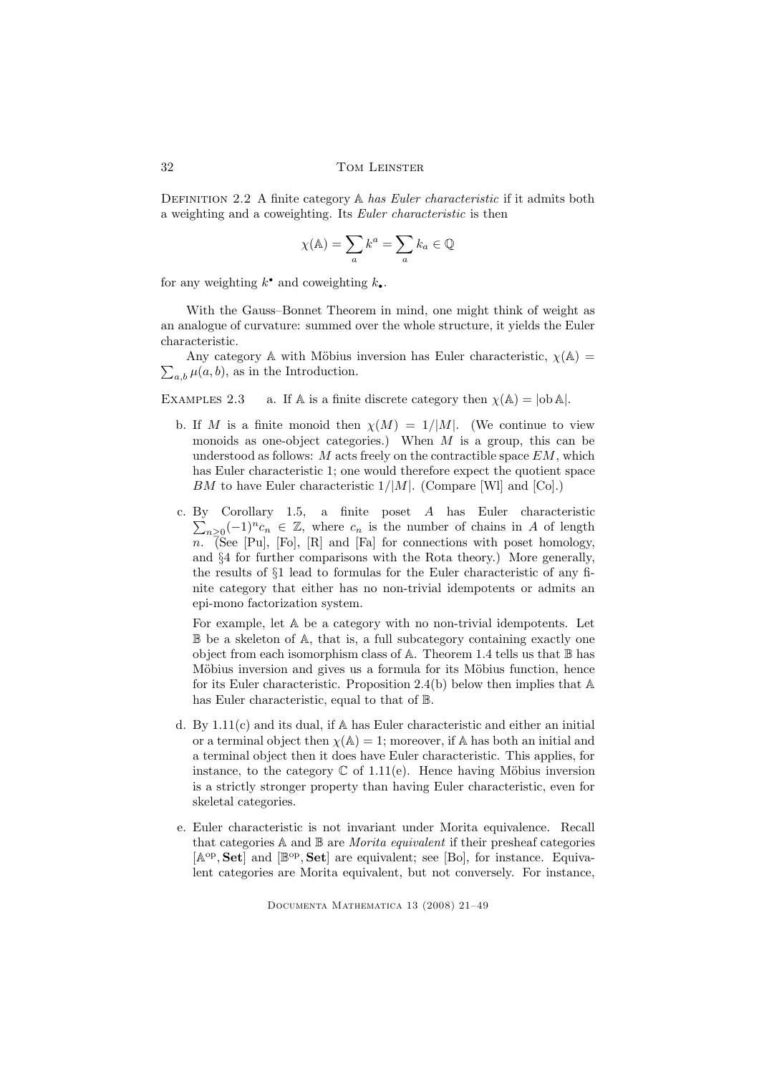DEFINITION 2.2 A finite category  $\mathbb A$  has Euler characteristic if it admits both a weighting and a coweighting. Its Euler characteristic is then

$$
\chi(\mathbb{A}) = \sum_{a} k^{a} = \sum_{a} k_{a} \in \mathbb{Q}
$$

for any weighting  $k^{\bullet}$  and coweighting  $k_{\bullet}$ .

With the Gauss–Bonnet Theorem in mind, one might think of weight as an analogue of curvature: summed over the whole structure, it yields the Euler characteristic.

 $\sum_{a,b} \mu(a, b)$ , as in the Introduction. Any category A with Möbius inversion has Euler characteristic,  $\chi(A)$  =

EXAMPLES 2.3 a. If A is a finite discrete category then  $\chi(A) = |ob A|$ .

- b. If M is a finite monoid then  $\chi(M) = 1/|M|$ . (We continue to view monoids as one-object categories.) When  $M$  is a group, this can be understood as follows:  $M$  acts freely on the contractible space  $EM$ , which has Euler characteristic 1; one would therefore expect the quotient space  $BM$  to have Euler characteristic  $1/|M|$ . (Compare [WI] and [Co].)
- c. By Corollary 1.5, a finite poset A has Euler characteristic  $\sum_{n\geq 0}(-1)^n c_n \in \mathbb{Z}$ , where  $c_n$  is the number of chains in A of length  $\overline{n}$ . (See [Pu], [Fo], [R] and [Fa] for connections with poset homology, and §4 for further comparisons with the Rota theory.) More generally, the results of §1 lead to formulas for the Euler characteristic of any finite category that either has no non-trivial idempotents or admits an epi-mono factorization system.

For example, let A be a category with no non-trivial idempotents. Let B be a skeleton of A, that is, a full subcategory containing exactly one object from each isomorphism class of A. Theorem 1.4 tells us that  $\mathbb B$  has Möbius inversion and gives us a formula for its Möbius function, hence for its Euler characteristic. Proposition 2.4(b) below then implies that  $A$ has Euler characteristic, equal to that of B.

- d. By 1.11(c) and its dual, if A has Euler characteristic and either an initial or a terminal object then  $\chi(A) = 1$ ; moreover, if A has both an initial and a terminal object then it does have Euler characteristic. This applies, for instance, to the category  $\mathbb C$  of 1.11(e). Hence having Möbius inversion is a strictly stronger property than having Euler characteristic, even for skeletal categories.
- e. Euler characteristic is not invariant under Morita equivalence. Recall that categories  $A$  and  $B$  are *Morita equivalent* if their presheaf categories [ $\mathbb{A}^{\text{op}}, \mathbf{Set}$ ] and [ $\mathbb{B}^{\text{op}}, \mathbf{Set}$ ] are equivalent; see [Bo], for instance. Equivalent categories are Morita equivalent, but not conversely. For instance,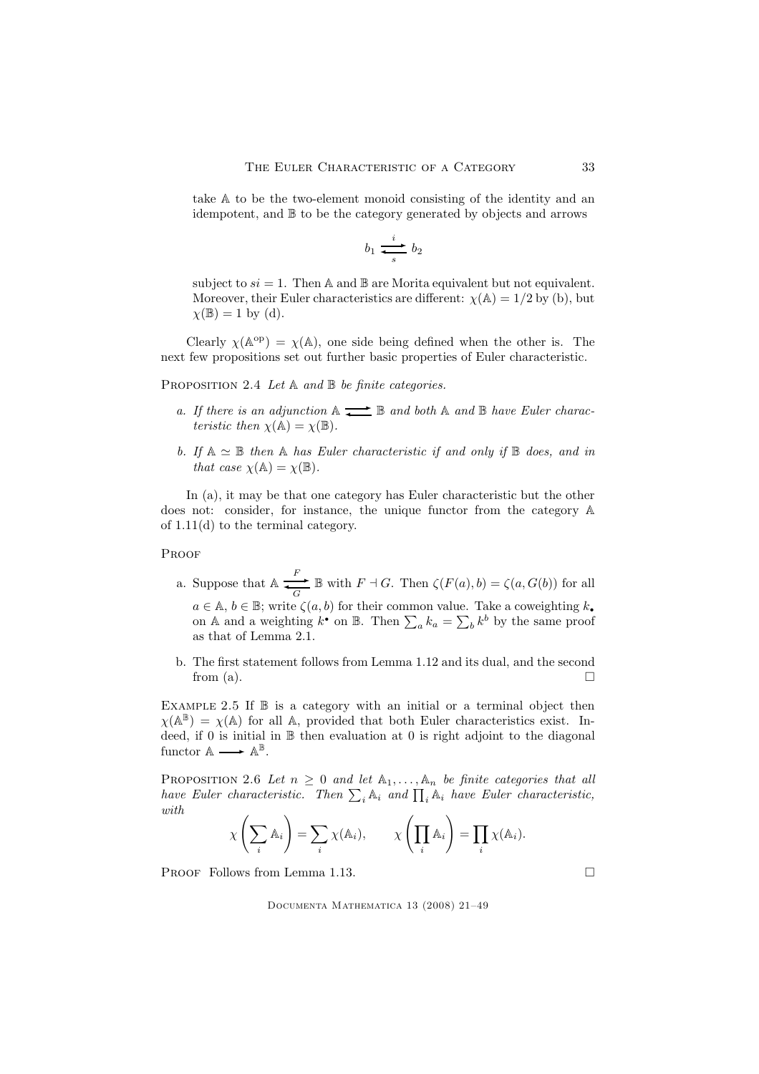take A to be the two-element monoid consisting of the identity and an idempotent, and B to be the category generated by objects and arrows

$$
b_1 \xrightarrow[s]{i} b_2
$$

subject to  $si = 1$ . Then A and B are Morita equivalent but not equivalent. Moreover, their Euler characteristics are different:  $\chi(A) = 1/2$  by (b), but  $\chi(\mathbb{B})=1$  by (d).

Clearly  $\chi(\mathbb{A}^{\text{op}}) = \chi(\mathbb{A})$ , one side being defined when the other is. The next few propositions set out further basic properties of Euler characteristic.

PROPOSITION 2.4 Let  $A$  and  $B$  be finite categories.

- a. If there is an adjunction  $A \rightleftarrows B$  and both  $A$  and  $B$  have Euler characteristic then  $\chi(\mathbb{A}) = \chi(\mathbb{B})$ .
- b. If  $A \simeq \mathbb{B}$  then A has Euler characteristic if and only if  $\mathbb{B}$  does, and in that case  $\chi(\mathbb{A}) = \chi(\mathbb{B})$ .

In (a), it may be that one category has Euler characteristic but the other does not: consider, for instance, the unique functor from the category A of 1.11(d) to the terminal category.

**PROOF** 

- a. Suppose that  $\mathbb{A} \longrightarrow$  $\longrightarrow$  B with  $F \dashv G$ . Then  $\zeta(F(a), b) = \zeta(a, G(b))$  for all  $a \in \mathbb{A}, b \in \mathbb{B}$ ; write  $\zeta(a, b)$  for their common value. Take a coweighting  $k_{\bullet}$ on A and a weighting  $k^{\bullet}$  on B. Then  $\sum_{a} k_a = \sum_{b} k^b$  by the same proof as that of Lemma 2.1.
- b. The first statement follows from Lemma 1.12 and its dual, and the second from (a).  $\Box$

EXAMPLE 2.5 If  $\mathbb B$  is a category with an initial or a terminal object then  $\chi(\mathbb{A}^{\mathbb{B}}) = \chi(\mathbb{A})$  for all A, provided that both Euler characteristics exist. Indeed, if 0 is initial in  $\mathbb B$  then evaluation at 0 is right adjoint to the diagonal functor  $\mathbb{A} \longrightarrow \mathbb{A}^{\mathbb{B}}$ .

PROPOSITION 2.6 Let  $n \geq 0$  and let  $\mathbb{A}_1, \ldots, \mathbb{A}_n$  be finite categories that all have Euler characteristic. Then  $\sum_i A_i$  and  $\prod_i A_i$  have Euler characteristic, with

$$
\chi\left(\sum_i A_i\right) = \sum_i \chi(A_i), \qquad \chi\left(\prod_i A_i\right) = \prod_i \chi(A_i).
$$

PROOF Follows from Lemma 1.13.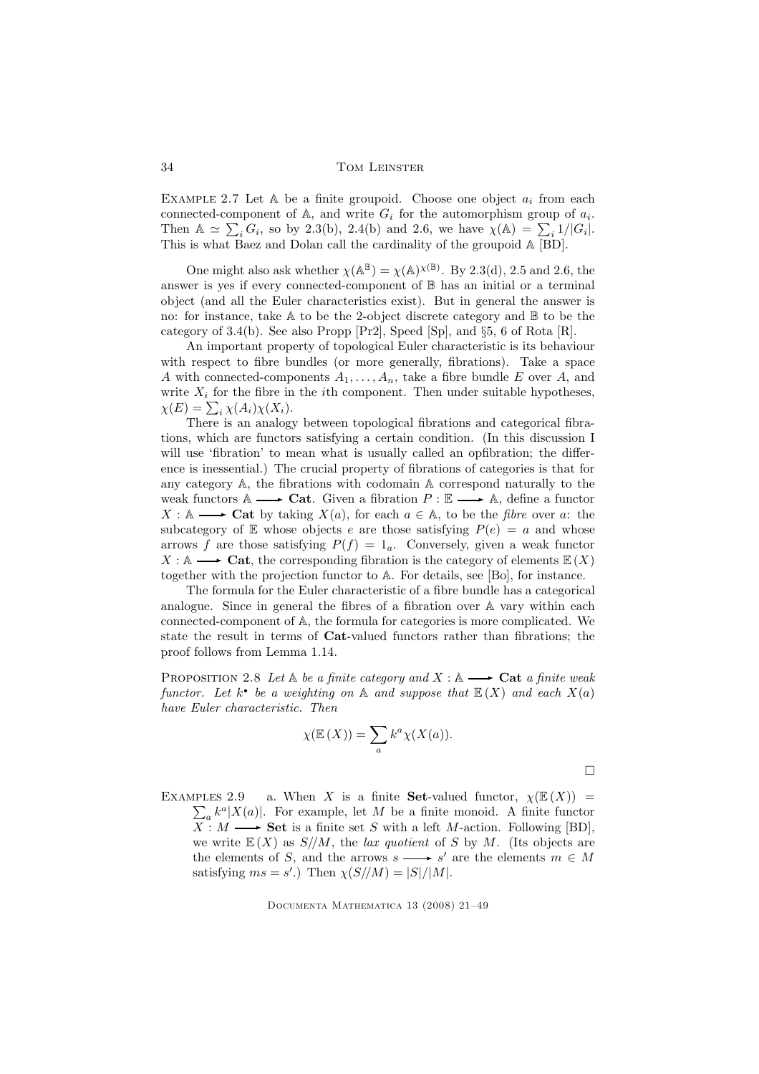EXAMPLE 2.7 Let  $A$  be a finite groupoid. Choose one object  $a_i$  from each connected-component of  $A$ , and write  $G_i$  for the automorphism group of  $a_i$ . Then  $\mathbb{A} \simeq \sum_i G_i$ , so by 2.3(b), 2.4(b) and 2.6, we have  $\chi(\mathbb{A}) = \sum_i 1/|G_i|$ . This is what Baez and Dolan call the cardinality of the groupoid A [BD].

One might also ask whether  $\chi(\mathbb{A}^{\mathbb{B}}) = \chi(\mathbb{A})^{\chi(\mathbb{B})}$ . By 2.3(d), 2.5 and 2.6, the answer is yes if every connected-component of B has an initial or a terminal object (and all the Euler characteristics exist). But in general the answer is no: for instance, take A to be the 2-object discrete category and B to be the category of 3.4(b). See also Propp [Pr2], Speed [Sp], and §5, 6 of Rota [R].

An important property of topological Euler characteristic is its behaviour with respect to fibre bundles (or more generally, fibrations). Take a space A with connected-components  $A_1, \ldots, A_n$ , take a fibre bundle E over A, and write  $X_i$  for the fibre in the *i*th component. Then under suitable hypotheses,  $\chi(E) = \sum_i \chi(A_i) \chi(X_i).$ 

There is an analogy between topological fibrations and categorical fibrations, which are functors satisfying a certain condition. (In this discussion I will use 'fibration' to mean what is usually called an opfibration; the difference is inessential.) The crucial property of fibrations of categories is that for any category A, the fibrations with codomain A correspond naturally to the weak functors  $\mathbb{A} \longrightarrow \mathbf{Cat}$ . Given a fibration  $P : \mathbb{E} \longrightarrow \mathbb{A}$ , define a functor  $X : \mathbb{A} \longrightarrow \mathbf{Cat}$  by taking  $X(a)$ , for each  $a \in \mathbb{A}$ , to be the *fibre* over a: the subcategory of E whose objects e are those satisfying  $P(e) = a$  and whose arrows f are those satisfying  $P(f) = 1_a$ . Conversely, given a weak functor  $X : \mathbb{A} \longrightarrow \mathbf{Cat}$ , the corresponding fibration is the category of elements  $\mathbb{E}(X)$ together with the projection functor to A. For details, see [Bo], for instance.

The formula for the Euler characteristic of a fibre bundle has a categorical analogue. Since in general the fibres of a fibration over A vary within each connected-component of A, the formula for categories is more complicated. We state the result in terms of Cat-valued functors rather than fibrations; the proof follows from Lemma 1.14.

PROPOSITION 2.8 Let  $A$  be a finite category and  $X : A \longrightarrow$  Cat a finite weak functor. Let  $k^{\bullet}$  be a weighting on  $\mathbb A$  and suppose that  $\mathbb E(X)$  and each  $X(a)$ have Euler characteristic. Then

$$
\chi(\mathbb{E}(X)) = \sum_{a} k^{a} \chi(X(a)).
$$

 $\Box$ 

Examples 2.9  $\sum_{a} k^{a} |X(a)|$ . For example, let M be a finite monoid. A finite functor a. When X is a finite **Set**-valued functor,  $\chi(\mathbb{E}(X))$  =  $\overline{X}$ :  $M \longrightarrow$  Set is a finite set S with a left M-action. Following [BD], we write  $E(X)$  as  $S/M$ , the *lax quotient* of S by M. (Its objects are the elements of S, and the arrows  $s \longrightarrow s'$  are the elements  $m \in M$ satisfying  $ms = s'$ .) Then  $\chi(S/M) = |S|/|M|$ .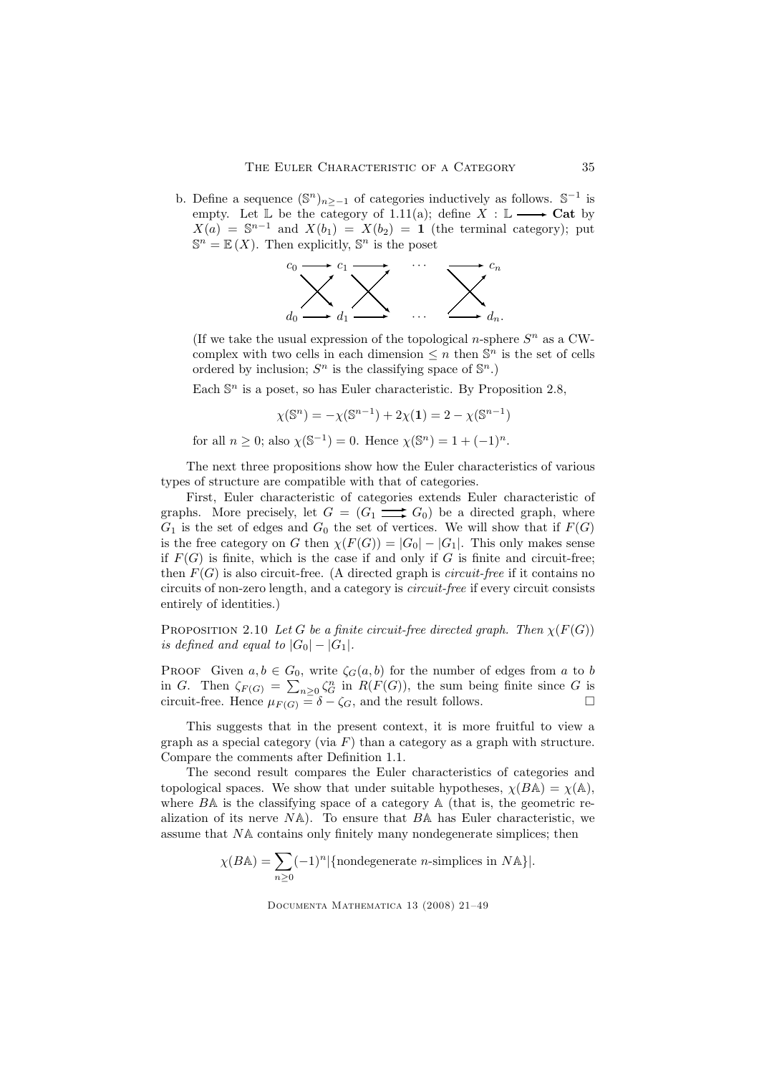b. Define a sequence  $(\mathbb{S}^n)_{n \geq -1}$  of categories inductively as follows.  $\mathbb{S}^{-1}$  is empty. Let  $\mathbb L$  be the category of 1.11(a); define  $X : \mathbb L \longrightarrow$  Cat by  $X(a) = \mathbb{S}^{n-1}$  and  $X(b_1) = X(b_2) = 1$  (the terminal category); put  $\mathbb{S}^n = \mathbb{E}(X)$ . Then explicitly,  $\mathbb{S}^n$  is the poset



(If we take the usual expression of the topological *n*-sphere  $S<sup>n</sup>$  as a CWcomplex with two cells in each dimension  $\leq n$  then  $\mathbb{S}^n$  is the set of cells ordered by inclusion;  $S^n$  is the classifying space of  $\mathbb{S}^n$ .)

Each  $\mathbb{S}^n$  is a poset, so has Euler characteristic. By Proposition 2.8,

$$
\chi(\mathbb{S}^n) = -\chi(\mathbb{S}^{n-1}) + 2\chi(1) = 2 - \chi(\mathbb{S}^{n-1})
$$

for all  $n \geq 0$ ; also  $\chi(\mathbb{S}^{-1}) = 0$ . Hence  $\chi(\mathbb{S}^n) = 1 + (-1)^n$ .

The next three propositions show how the Euler characteristics of various types of structure are compatible with that of categories.

First, Euler characteristic of categories extends Euler characteristic of graphs. More precisely, let  $G = (G_1 \longrightarrow G_0)$  be a directed graph, where  $G_1$  is the set of edges and  $G_0$  the set of vertices. We will show that if  $F(G)$ is the free category on G then  $\chi(F(G)) = |G_0| - |G_1|$ . This only makes sense if  $F(G)$  is finite, which is the case if and only if G is finite and circuit-free; then  $F(G)$  is also circuit-free. (A directed graph is *circuit-free* if it contains no circuits of non-zero length, and a category is circuit-free if every circuit consists entirely of identities.)

PROPOSITION 2.10 Let G be a finite circuit-free directed graph. Then  $\chi(F(G))$ is defined and equal to  $|G_0| - |G_1|$ .

PROOF Given  $a, b \in G_0$ , write  $\zeta_G(a, b)$  for the number of edges from a to b in G. Then  $\zeta_{F(G)} = \sum_{n>0} \zeta_G^n$  in  $R(F(G))$ , the sum being finite since G is circuit-free. Hence  $\mu_{F(G)} = \delta - \zeta_G$ , and the result follows.

This suggests that in the present context, it is more fruitful to view a graph as a special category (via  $F$ ) than a category as a graph with structure. Compare the comments after Definition 1.1.

The second result compares the Euler characteristics of categories and topological spaces. We show that under suitable hypotheses,  $\chi(B\mathbb{A}) = \chi(\mathbb{A}),$ where  $BA$  is the classifying space of a category  $A$  (that is, the geometric realization of its nerve  $N_A$ ). To ensure that  $B_A$  has Euler characteristic, we assume that NA contains only finitely many nondegenerate simplices; then

$$
\chi(B{\mathbb A})=\sum_{n\geq 0} (-1)^n |\{\text{nondegenerate } n\text{-simplices in } N{\mathbb A}\}|.
$$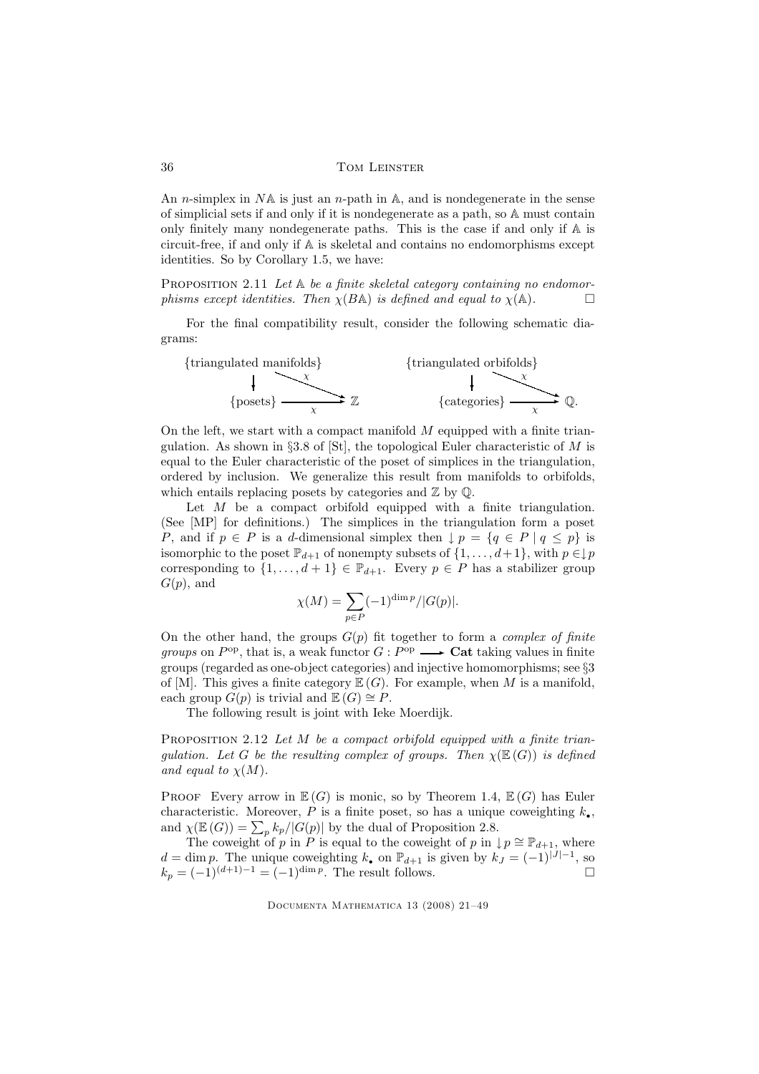An *n*-simplex in  $N\mathbb{A}$  is just an *n*-path in  $\mathbb{A}$ , and is nondegenerate in the sense of simplicial sets if and only if it is nondegenerate as a path, so A must contain only finitely many nondegenerate paths. This is the case if and only if A is circuit-free, if and only if A is skeletal and contains no endomorphisms except identities. So by Corollary 1.5, we have:

PROPOSITION 2.11 Let  $A$  be a finite skeletal category containing no endomorphisms except identities. Then  $\chi(B\mathbb{A})$  is defined and equal to  $\chi(\mathbb{A})$ .

For the final compatibility result, consider the following schematic diagrams:



On the left, we start with a compact manifold  $M$  equipped with a finite triangulation. As shown in §3.8 of [St], the topological Euler characteristic of M is equal to the Euler characteristic of the poset of simplices in the triangulation, ordered by inclusion. We generalize this result from manifolds to orbifolds, which entails replacing posets by categories and  $\mathbb{Z}$  by  $\mathbb{Q}$ .

Let  $M$  be a compact orbifold equipped with a finite triangulation. (See [MP] for definitions.) The simplices in the triangulation form a poset P, and if  $p \in P$  is a d-dimensional simplex then  $\downarrow p = \{q \in P \mid q \leq p\}$  is isomorphic to the poset  $\mathbb{P}_{d+1}$  of nonempty subsets of  $\{1, \ldots, d+1\}$ , with  $p \in \downarrow p$ corresponding to  $\{1,\ldots,d+1\} \in \mathbb{P}_{d+1}$ . Every  $p \in P$  has a stabilizer group  $G(p)$ , and

$$
\chi(M) = \sum_{p \in P} (-1)^{\dim p} /|G(p)|.
$$

On the other hand, the groups  $G(p)$  fit together to form a *complex of finite* groups on  $P^{\rm op}$ , that is, a weak functor  $G: P^{\rm op} \longrightarrow$  Cat taking values in finite groups (regarded as one-object categories) and injective homomorphisms; see §3 of [M]. This gives a finite category  $\mathbb{E}(G)$ . For example, when M is a manifold, each group  $G(p)$  is trivial and  $\mathbb{E}(G) \cong P$ .

The following result is joint with Ieke Moerdijk.

PROPOSITION 2.12 Let M be a compact orbifold equipped with a finite triangulation. Let G be the resulting complex of groups. Then  $\chi(\mathbb{E}(G))$  is defined and equal to  $\chi(M)$ .

PROOF Every arrow in  $\mathbb{E}(G)$  is monic, so by Theorem 1.4,  $\mathbb{E}(G)$  has Euler characteristic. Moreover, P is a finite poset, so has a unique coweighting  $k_{\bullet}$ , and  $\chi(\mathbb{E}(G)) = \sum_p k_p/|G(p)|$  by the dual of Proposition 2.8.

The coweight of p in P is equal to the coweight of p in  $\downarrow p \cong \mathbb{P}_{d+1}$ , where  $d = \dim p$ . The unique coweighting  $k_{\bullet}$  on  $\mathbb{P}_{d+1}$  is given by  $k_J = (-1)^{|J|-1}$ , so  $k_p = (-1)^{(d+1)-1} = (-1)^{\dim p}$ . The result follows.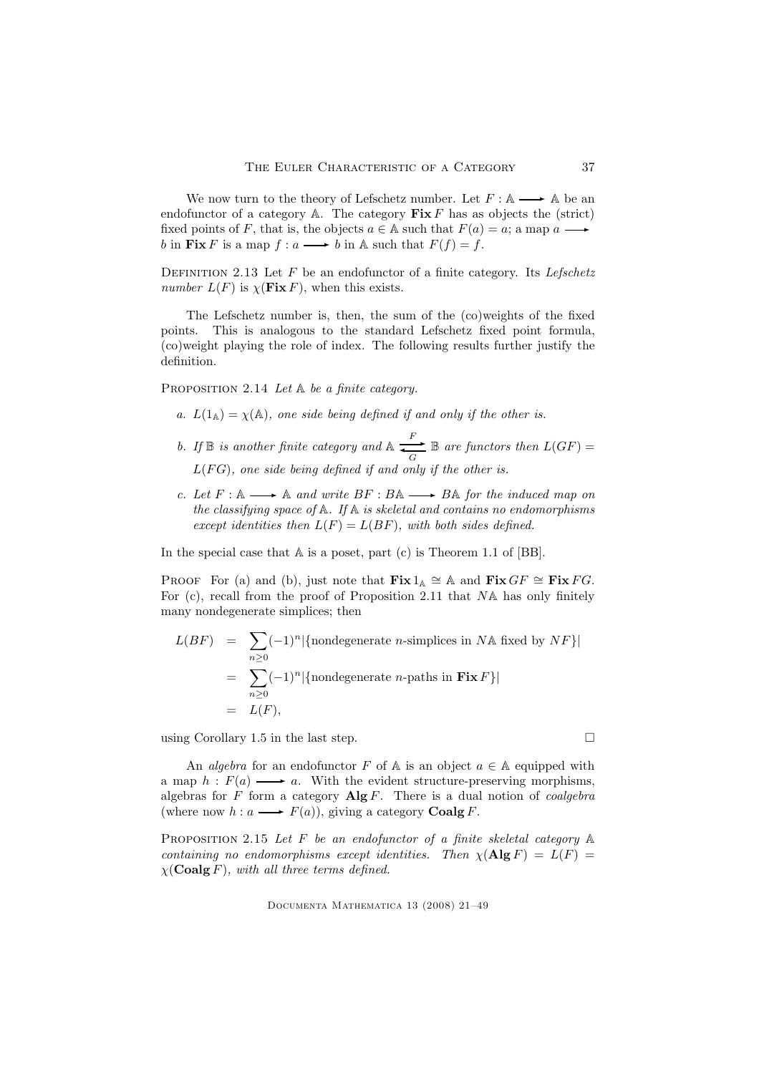We now turn to the theory of Lefschetz number. Let  $F : A \longrightarrow A$  be an endofunctor of a category  $\mathbb{A}$ . The category  $\mathbf{Fix} F$  has as objects the (strict) fixed points of F, that is, the objects  $a \in A$  such that  $F(a) = a$ ; a map a  $\blacksquare$ b in Fix F is a map  $f : a \longrightarrow b$  in A such that  $F(f) = f$ .

DEFINITION 2.13 Let  $F$  be an endofunctor of a finite category. Its Lefschetz number  $L(F)$  is  $\chi$ (**Fix** F), when this exists.

The Lefschetz number is, then, the sum of the (co)weights of the fixed points. This is analogous to the standard Lefschetz fixed point formula, (co)weight playing the role of index. The following results further justify the definition.

PROPOSITION 2.14 Let  $\mathbb A$  be a finite category.

- a.  $L(1_A) = \chi(A)$ , one side being defined if and only if the other is.
- b. If  $\mathbb B$  is another finite category and  $\mathbb A \xrightarrow[G]{} \mathbb B$  are functors then  $L(GF) =$  $L(FG)$ , one side being defined if and only if the other is.
- c. Let  $F : \mathbb{A} \longrightarrow \mathbb{A}$  and write  $BF : B\mathbb{A} \longrightarrow B\mathbb{A}$  for the induced map on the classifying space of  $A$ . If  $A$  is skeletal and contains no endomorphisms except identities then  $L(F) = L(BF)$ , with both sides defined.

In the special case that  $A$  is a poset, part (c) is Theorem 1.1 of [BB].

PROOF For (a) and (b), just note that  $\textbf{Fix } 1_{\mathbb{A}} \cong \mathbb{A}$  and  $\textbf{Fix } G F \cong \textbf{Fix } FG$ . For (c), recall from the proof of Proposition 2.11 that NA has only finitely many nondegenerate simplices; then

$$
L(BF) = \sum_{n\geq 0} (-1)^n |\{\text{nondegenerate } n\text{-simplices in } N\mathbb{A} \text{ fixed by } NF\}|
$$
  
= 
$$
\sum_{n\geq 0} (-1)^n |\{\text{nondegenerate } n\text{-paths in } \mathbf{Fix } F\}|
$$
  
= 
$$
L(F),
$$

using Corollary 1.5 in the last step.  $\Box$ 

An *algebra* for an endofunctor F of A is an object  $a \in A$  equipped with a map  $h : F(a) \longrightarrow a$ . With the evident structure-preserving morphisms, algebras for F form a category  $\mathbf{Alg} F$ . There is a dual notion of *coalgebra* (where now  $h: a \longrightarrow F(a)$ ), giving a category **Coalg** F.

PROPOSITION 2.15 Let  $F$  be an endofunctor of a finite skeletal category  $A$ containing no endomorphisms except identities. Then  $\chi(\mathbf{Alg} F) = L(F)$  $\chi$ (Coalg F), with all three terms defined.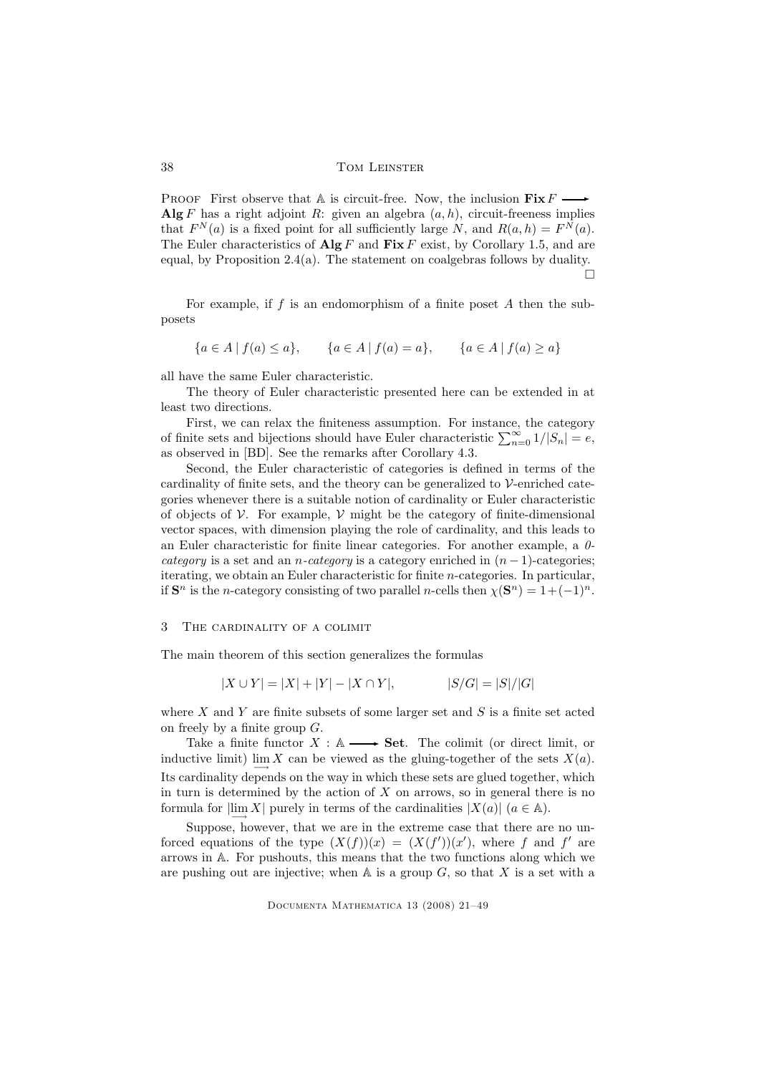PROOF First observe that A is circuit-free. Now, the inclusion  $\mathbf{Fix}\, F$  – Alg F has a right adjoint R: given an algebra  $(a, h)$ , circuit-freeness implies that  $F^{N}(a)$  is a fixed point for all sufficiently large N, and  $R(a, h) = F^{N}(a)$ . The Euler characteristics of  $\mathbf{Alg} F$  and  $\mathbf{Fix} F$  exist, by Corollary 1.5, and are equal, by Proposition 2.4(a). The statement on coalgebras follows by duality.  $\Box$ 

For example, if f is an endomorphism of a finite poset  $A$  then the subposets

$$
\{a \in A \mid f(a) \le a\}, \qquad \{a \in A \mid f(a) = a\}, \qquad \{a \in A \mid f(a) \ge a\}
$$

all have the same Euler characteristic.

The theory of Euler characteristic presented here can be extended in at least two directions.

First, we can relax the finiteness assumption. For instance, the category of finite sets and bijections should have Euler characteristic  $\sum_{n=0}^{\infty} 1/|S_n| = e$ , as observed in [BD]. See the remarks after Corollary 4.3.

Second, the Euler characteristic of categories is defined in terms of the cardinality of finite sets, and the theory can be generalized to V-enriched categories whenever there is a suitable notion of cardinality or Euler characteristic of objects of  $\mathcal V$ . For example,  $\mathcal V$  might be the category of finite-dimensional vector spaces, with dimension playing the role of cardinality, and this leads to an Euler characteristic for finite linear categories. For another example, a 0 category is a set and an *n*-category is a category enriched in  $(n - 1)$ -categories; iterating, we obtain an Euler characteristic for finite n-categories. In particular, if  $S^n$  is the *n*-category consisting of two parallel *n*-cells then  $\chi(S^n) = 1 + (-1)^n$ .

#### 3 The cardinality of a colimit

The main theorem of this section generalizes the formulas

$$
|X \cup Y| = |X| + |Y| - |X \cap Y|, \qquad |S/G| = |S|/|G|
$$

where X and Y are finite subsets of some larger set and  $S$  is a finite set acted on freely by a finite group  $G$ .

Take a finite functor  $X : \mathbb{A} \longrightarrow \mathbf{Set}$ . The colimit (or direct limit, or inductive limit)  $\lim_{n \to \infty} X$  can be viewed as the gluing-together of the sets  $X(a)$ . Its cardinality depends on the way in which these sets are glued together, which in turn is determined by the action of  $X$  on arrows, so in general there is no formula for  $\lim_{n \to \infty} X$  purely in terms of the cardinalities  $|X(a)|$   $(a \in \mathbb{A})$ .

Suppose, however, that we are in the extreme case that there are no unforced equations of the type  $(X(f))(x) = (X(f'))(x')$ , where f and f' are arrows in A. For pushouts, this means that the two functions along which we are pushing out are injective; when  $A$  is a group  $G$ , so that X is a set with a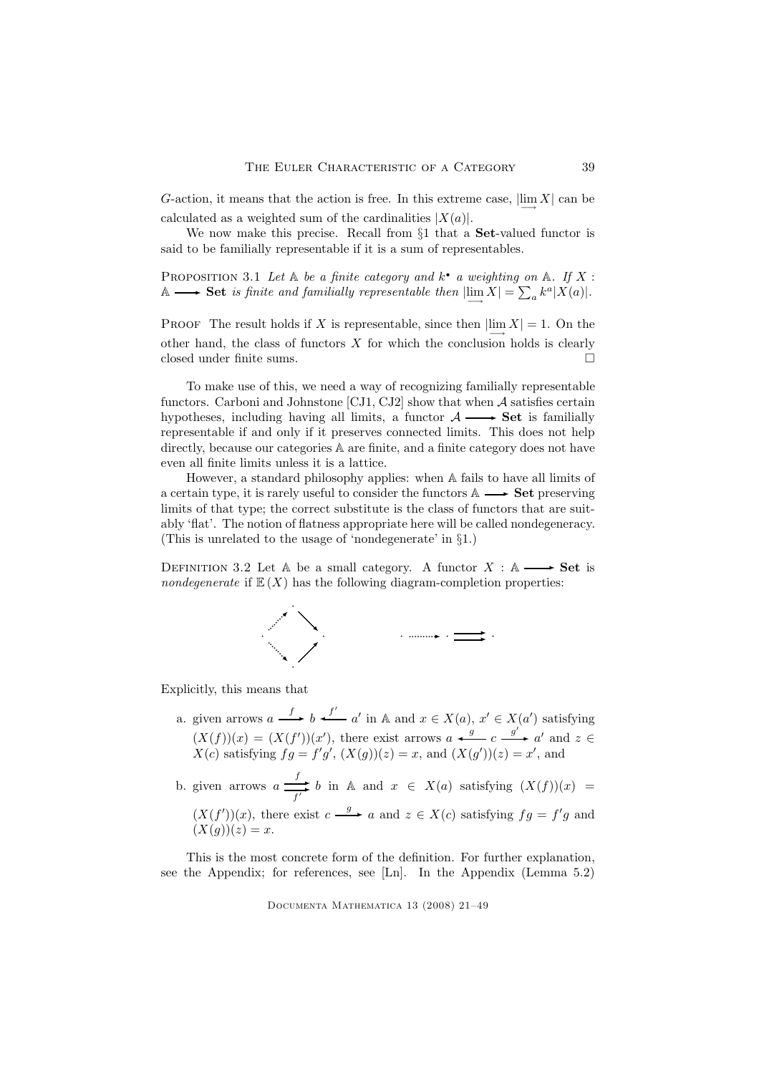G-action, it means that the action is free. In this extreme case,  $\lim_{n \to \infty} X$  can be calculated as a weighted sum of the cardinalities  $|X(a)|$ .

We now make this precise. Recall from §1 that a Set-valued functor is said to be familially representable if it is a sum of representables.

PROPOSITION 3.1 Let  $A$  be a finite category and  $k^{\bullet}$  a weighting on  $A$ . If X: A  $\longrightarrow$  Set is finite and familially representable then  $\lim_{m \to \infty} X = \sum_{a} k^a |X(a)|$ .

PROOF The result holds if X is representable, since then  $\lim_{n \to \infty} X$  = 1. On the other hand, the class of functors  $X$  for which the conclusion holds is clearly closed under finite sums.

To make use of this, we need a way of recognizing familially representable functors. Carboni and Johnstone [CJ1, CJ2] show that when  $A$  satisfies certain hypotheses, including having all limits, a functor  $\mathcal{A} \longrightarrow$  **Set** is familially representable if and only if it preserves connected limits. This does not help directly, because our categories  $A$  are finite, and a finite category does not have even all finite limits unless it is a lattice.

However, a standard philosophy applies: when A fails to have all limits of a certain type, it is rarely useful to consider the functors  $\mathbb{A} \longrightarrow$  **Set** preserving limits of that type; the correct substitute is the class of functors that are suitably 'flat'. The notion of flatness appropriate here will be called nondegeneracy. (This is unrelated to the usage of 'nondegenerate' in §1.)

DEFINITION 3.2 Let A be a small category. A functor  $X : A \longrightarrow$  Set is nondegenerate if  $\mathbb{E}(X)$  has the following diagram-completion properties:



Explicitly, this means that

- a. given arrows  $a \xrightarrow{f} b \xleftarrow{f'} a'$  in  $\mathbb{A}$  and  $x \in X(a)$ ,  $x' \in X(a')$  satisfying  $(X(f))(x) = (X(f'))(x')$ , there exist arrows  $a \xleftarrow{g} c \xrightarrow{g'} a'$  and  $z \in$  $X(c)$  satisfying  $fg = f'g'$ ,  $(X(g))(z) = x$ , and  $(X(g'))(z) = x'$ , and
- b. given arrows  $a \stackrel{f}{\longrightarrow}$  $\overrightarrow{f}$  b in A and  $x \in X(a)$  satisfying  $(X(f))(x) = f'$  $(X(f'))(x)$ , there exist  $c \xrightarrow{g} a$  and  $z \in X(c)$  satisfying  $fg = f'g$  and  $(X(g))(z) = x.$

This is the most concrete form of the definition. For further explanation, see the Appendix; for references, see [Ln]. In the Appendix (Lemma 5.2)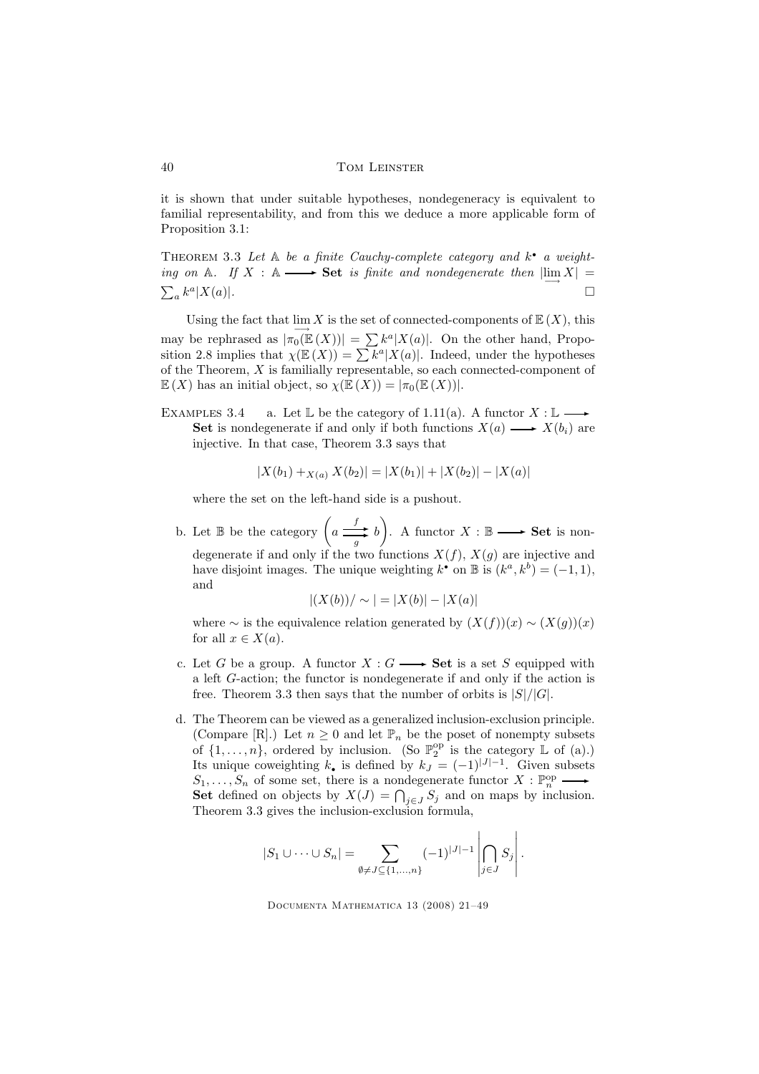it is shown that under suitable hypotheses, nondegeneracy is equivalent to familial representability, and from this we deduce a more applicable form of Proposition 3.1:

THEOREM 3.3 Let  $A$  be a finite Cauchy-complete category and  $k^{\bullet}$  a weighting on A. If  $X : A \longrightarrow$  Set is finite and nondegenerate then  $|\lim_{\longrightarrow} X| =$  $\sum_a k^a$  $|X(a)|$ .

Using the fact that  $\lim_{n \to \infty} X$  is the set of connected-components of  $\mathbb{E}(X)$ , this may be rephrased as  $|\pi_0(\mathbb{E}(X))| = \sum k^a |X(a)|$ . On the other hand, Proposition 2.8 implies that  $\chi(\mathbb{E}(X)) = \sum k^a |X(a)|$ . Indeed, under the hypotheses of the Theorem, X is familially representable, so each connected-component of  $\mathbb{E}(X)$  has an initial object, so  $\chi(\mathbb{E}(X)) = |\pi_0(\mathbb{E}(X))|$ .

EXAMPLES 3.4 a. Let  $\mathbb L$  be the category of 1.11(a). A functor  $X : \mathbb L$  – Set is nondegenerate if and only if both functions  $X(a) \longrightarrow X(b_i)$  are injective. In that case, Theorem 3.3 says that

$$
|X(b_1) +_{X(a)} X(b_2)| = |X(b_1)| + |X(b_2)| - |X(a)|
$$

where the set on the left-hand side is a pushout.

b. Let  $\mathbb B$  be the category  $\left(a \right)$  $\frac{f}{g}$  b). A functor  $X : \mathbb{B} \longrightarrow$  **Set** is nondegenerate if and only if the two functions  $X(f)$ ,  $X(g)$  are injective and have disjoint images. The unique weighting  $k^{\bullet}$  on  $\mathbb{B}$  is  $(k^a, k^b) = (-1, 1)$ , and

$$
|(X(b)) / \sim | = |X(b)| - |X(a)|
$$

where  $\sim$  is the equivalence relation generated by  $(X(f))(x) \sim (X(g))(x)$ for all  $x \in X(a)$ .

- c. Let G be a group. A functor  $X: G \longrightarrow$  Set is a set S equipped with a left G-action; the functor is nondegenerate if and only if the action is free. Theorem 3.3 then says that the number of orbits is  $|S|/|G|$ .
- d. The Theorem can be viewed as a generalized inclusion-exclusion principle. (Compare [R].) Let  $n \geq 0$  and let  $\mathbb{P}_n$  be the poset of nonempty subsets of  $\{1, \ldots, n\}$ , ordered by inclusion. (So  $\mathbb{P}_2^{\text{op}}$  is the category  $\mathbb L$  of (a).) Its unique coweighting  $k_{\bullet}$  is defined by  $k_J = (-1)^{|J|-1}$ . Given subsets  $S_1, \ldots, S_n$  of some set, there is a nondegenerate functor  $X : \mathbb{P}^{\text{op}}_n$  $\rightarrow$ Set defined on objects by  $X(J) = \bigcap_{j \in J} S_j$  and on maps by inclusion. Theorem 3.3 gives the inclusion-exclusion formula,

$$
|S_1 \cup \cdots \cup S_n| = \sum_{\emptyset \neq J \subseteq \{1,\ldots,n\}} (-1)^{|J|-1} \left| \bigcap_{j \in J} S_j \right|.
$$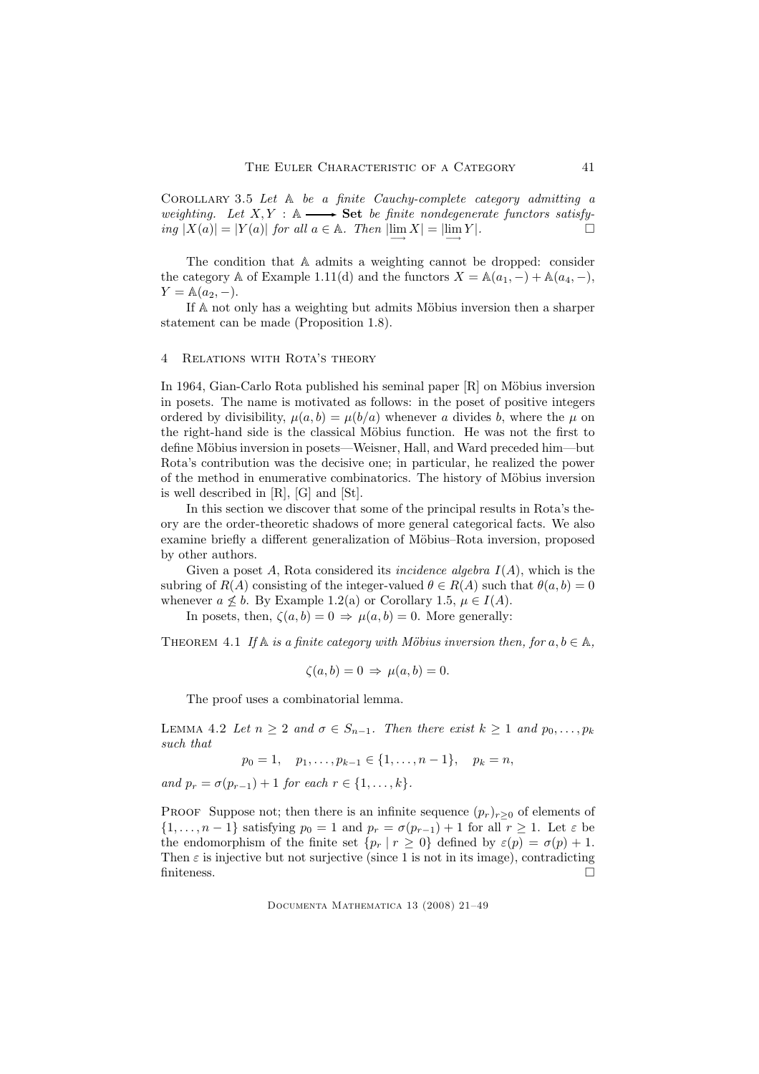Corollary 3.5 Let A be a finite Cauchy-complete category admitting a weighting. Let  $X, Y : \mathbb{A} \longrightarrow \mathbf{Set}$  be finite nondegenerate functors satisfying  $|X(a)| = |Y(a)|$  for all  $a \in \mathbb{A}$ . Then  $\left| \lim_{n \to \infty} X \right| = \left| \lim_{n \to \infty} Y \right|$ .  $\Box$ 

The condition that A admits a weighting cannot be dropped: consider the category A of Example 1.11(d) and the functors  $X = \mathbb{A}(a_1, -) + \mathbb{A}(a_4, -)$ ,  $Y = \mathbb{A}(a_2, -).$ 

If A not only has a weighting but admits Möbius inversion then a sharper statement can be made (Proposition 1.8).

#### 4 RELATIONS WITH ROTA'S THEORY

In 1964, Gian-Carlo Rota published his seminal paper  $[R]$  on Möbius inversion in posets. The name is motivated as follows: in the poset of positive integers ordered by divisibility,  $\mu(a, b) = \mu(b/a)$  whenever a divides b, where the  $\mu$  on the right-hand side is the classical Möbius function. He was not the first to define Möbius inversion in posets—Weisner, Hall, and Ward preceded him—but Rota's contribution was the decisive one; in particular, he realized the power of the method in enumerative combinatorics. The history of Möbius inversion is well described in [R], [G] and [St].

In this section we discover that some of the principal results in Rota's theory are the order-theoretic shadows of more general categorical facts. We also examine briefly a different generalization of Möbius–Rota inversion, proposed by other authors.

Given a poset A, Rota considered its *incidence algebra*  $I(A)$ , which is the subring of  $R(A)$  consisting of the integer-valued  $\theta \in R(A)$  such that  $\theta(a, b) = 0$ whenever  $a \not\leq b$ . By Example 1.2(a) or Corollary 1.5,  $\mu \in I(A)$ .

In posets, then,  $\zeta(a, b) = 0 \Rightarrow \mu(a, b) = 0$ . More generally:

THEOREM 4.1 If  $\mathbb A$  is a finite category with Möbius inversion then, for  $a, b \in \mathbb A$ ,

$$
\zeta(a,b) = 0 \Rightarrow \mu(a,b) = 0.
$$

The proof uses a combinatorial lemma.

LEMMA 4.2 Let  $n \geq 2$  and  $\sigma \in S_{n-1}$ . Then there exist  $k \geq 1$  and  $p_0, \ldots, p_k$ such that

$$
p_0 = 1, p_1, \ldots, p_{k-1} \in \{1, \ldots, n-1\}, p_k = n,
$$

and  $p_r = \sigma(p_{r-1}) + 1$  for each  $r \in \{1, ..., k\}.$ 

PROOF Suppose not; then there is an infinite sequence  $(p_r)_{r>0}$  of elements of  $\{1,\ldots,n-1\}$  satisfying  $p_0 = 1$  and  $p_r = \sigma(p_{r-1}) + 1$  for all  $r \geq 1$ . Let  $\varepsilon$  be the endomorphism of the finite set  $\{p_r | r \geq 0\}$  defined by  $\varepsilon(p) = \sigma(p) + 1$ . Then  $\varepsilon$  is injective but not surjective (since 1 is not in its image), contradicting finiteness.  $\Box$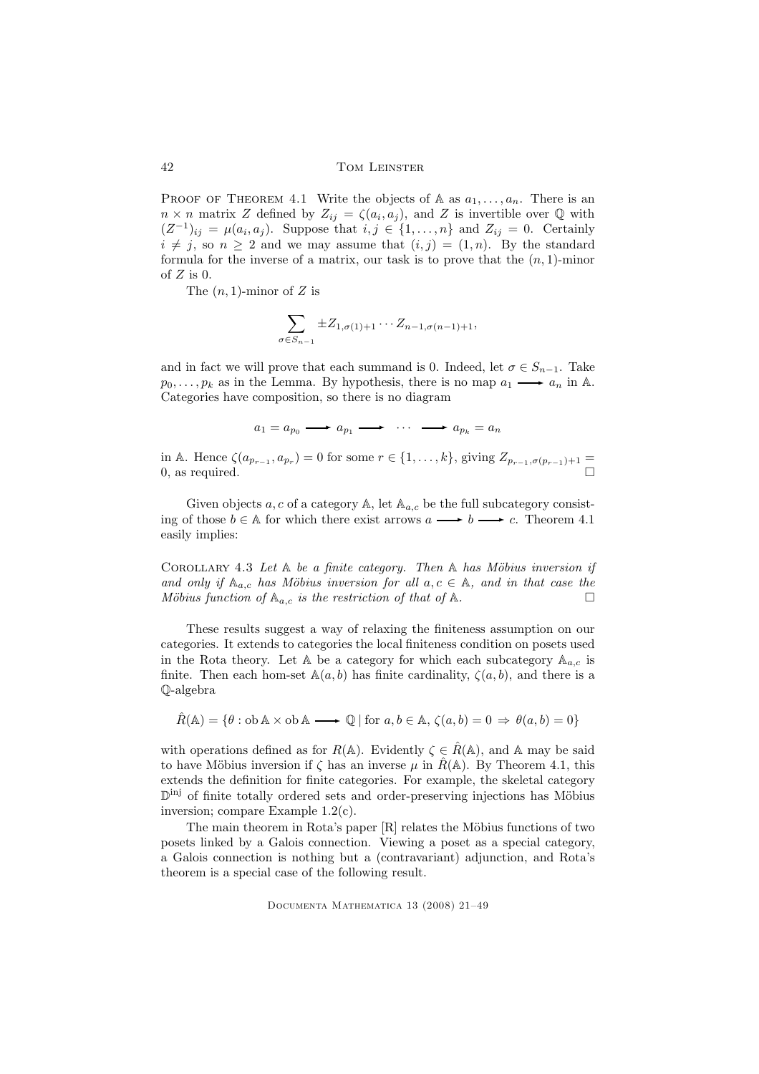PROOF OF THEOREM 4.1 Write the objects of A as  $a_1, \ldots, a_n$ . There is an  $n \times n$  matrix Z defined by  $Z_{ij} = \zeta(a_i, a_j)$ , and Z is invertible over Q with  $(Z^{-1})_{ij} = \mu(a_i, a_j)$ . Suppose that  $i, j \in \{1, ..., n\}$  and  $Z_{ij} = 0$ . Certainly  $i \neq j$ , so  $n \geq 2$  and we may assume that  $(i, j) = (1, n)$ . By the standard formula for the inverse of a matrix, our task is to prove that the  $(n, 1)$ -minor of  $Z$  is 0.

The  $(n, 1)$ -minor of Z is

$$
\sum_{\sigma \in S_{n-1}} \pm Z_{1,\sigma(1)+1} \cdots Z_{n-1,\sigma(n-1)+1},
$$

and in fact we will prove that each summand is 0. Indeed, let  $\sigma \in S_{n-1}$ . Take  $p_0, \ldots, p_k$  as in the Lemma. By hypothesis, there is no map  $a_1 \longrightarrow a_n$  in A. Categories have composition, so there is no diagram

$$
a_1 = a_{p_0} \longrightarrow a_{p_1} \longrightarrow \cdots \longrightarrow a_{p_k} = a_n
$$

in A. Hence  $\zeta(a_{p_{r-1}}, a_{p_r}) = 0$  for some  $r \in \{1, \ldots, k\}$ , giving  $Z_{p_{r-1}, \sigma(p_{r-1})+1} =$ 0, as required.  $\Box$ 

Given objects a, c of a category  $\mathbb{A}$ , let  $\mathbb{A}_{a,c}$  be the full subcategory consisting of those  $b \in A$  for which there exist arrows  $a \longrightarrow b \longrightarrow c$ . Theorem 4.1 easily implies:

COROLLARY 4.3 Let  $A$  be a finite category. Then  $A$  has Möbius inversion if and only if  $A_{a,c}$  has Möbius inversion for all  $a, c \in A$ , and in that case the Möbius function of  $A_{a,c}$  is the restriction of that of A.

These results suggest a way of relaxing the finiteness assumption on our categories. It extends to categories the local finiteness condition on posets used in the Rota theory. Let A be a category for which each subcategory  $A_{a,c}$  is finite. Then each hom-set  $\mathbb{A}(a, b)$  has finite cardinality,  $\zeta(a, b)$ , and there is a Q-algebra

$$
\hat{R}(\mathbb{A}) = \{ \theta : \text{ob } \mathbb{A} \times \text{ob } \mathbb{A} \longrightarrow \mathbb{Q} \mid \text{for } a, b \in \mathbb{A}, \zeta(a, b) = 0 \Rightarrow \theta(a, b) = 0 \}
$$

with operations defined as for  $R(\mathbb{A})$ . Evidently  $\zeta \in \hat{R}(\mathbb{A})$ , and A may be said to have Möbius inversion if  $\zeta$  has an inverse  $\mu$  in  $R(\mathbb{A})$ . By Theorem 4.1, this extends the definition for finite categories. For example, the skeletal category D<sup>inj</sup> of finite totally ordered sets and order-preserving injections has Möbius inversion; compare Example 1.2(c).

The main theorem in Rota's paper  $[R]$  relates the Möbius functions of two posets linked by a Galois connection. Viewing a poset as a special category, a Galois connection is nothing but a (contravariant) adjunction, and Rota's theorem is a special case of the following result.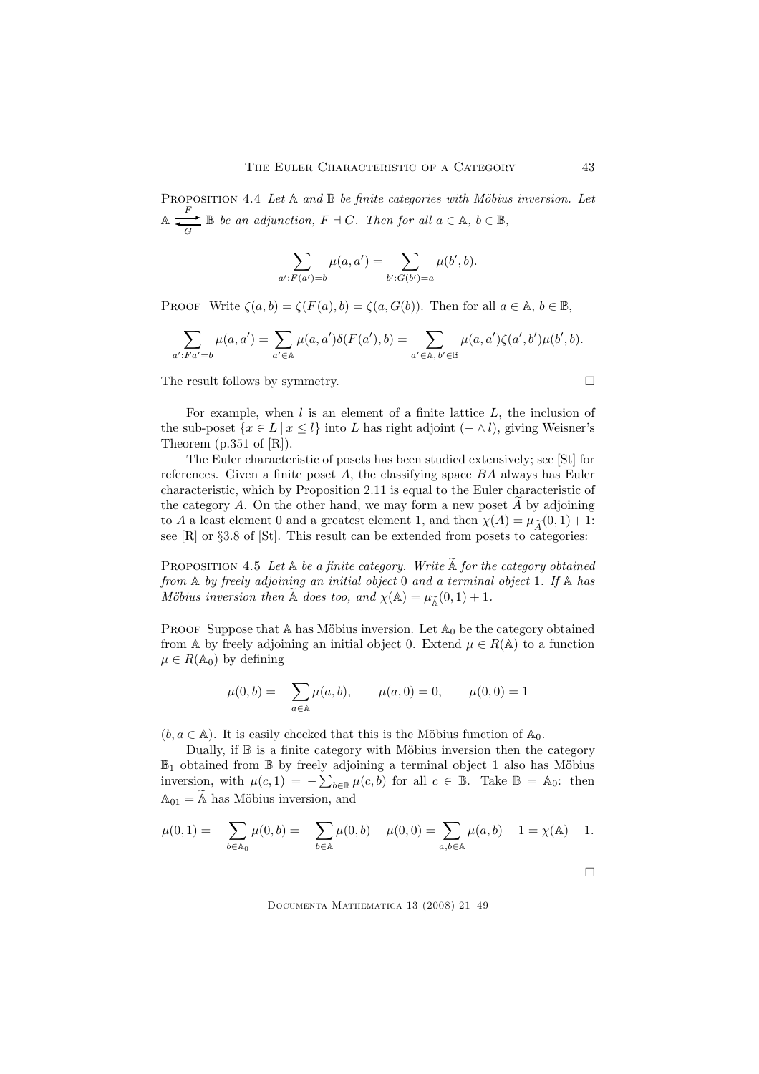PROPOSITION 4.4 Let  $A$  and  $B$  be finite categories with Möbius inversion. Let  $\mathbb{A} \xrightarrow[G]{} \mathbb{B}$  be an adjunction,  $F \dashv G$ . Then for all  $a \in \mathbb{A}$ ,  $b \in \mathbb{B}$ ,

$$
\sum_{a': F(a') = b} \mu(a, a') = \sum_{b': G(b') = a} \mu(b', b).
$$

PROOF Write  $\zeta(a, b) = \zeta(F(a), b) = \zeta(a, G(b))$ . Then for all  $a \in \mathbb{A}, b \in \mathbb{B}$ ,

$$
\sum_{a':Fa'=b} \mu(a,a') = \sum_{a'\in \mathbb{A}} \mu(a,a')\delta(F(a'),b) = \sum_{a'\in \mathbb{A}, b'\in \mathbb{B}} \mu(a,a')\zeta(a',b')\mu(b',b).
$$

The result follows by symmetry.

For example, when  $l$  is an element of a finite lattice  $L$ , the inclusion of the sub-poset  $\{x \in L \mid x \leq l\}$  into L has right adjoint  $(- \wedge l)$ , giving Weisner's Theorem (p.351 of [R]).

The Euler characteristic of posets has been studied extensively; see [St] for references. Given a finite poset  $A$ , the classifying space  $BA$  always has Euler characteristic, which by Proposition 2.11 is equal to the Euler characteristic of the category  $A$ . On the other hand, we may form a new poset  $A$  by adjoining to A a least element 0 and a greatest element 1, and then  $\chi(A) = \mu_{\widetilde{A}}(0, 1) + 1$ :<br>see [R] or §3.8 of [St]. This result can be extended from posets to categories: see  $[R]$  or §3.8 of  $[St]$ . This result can be extended from posets to categories:

PROPOSITION 4.5 Let  $A$  be a finite category. Write  $\widetilde{A}$  for the category obtained from A by freely adjoining an initial object 0 and a terminal object 1. If A has Möbius inversion then A does too, and  $\chi(A) = \mu_{\widetilde{A}}(0, 1) + 1$ .

PROOF Suppose that A has Möbius inversion. Let  $A_0$  be the category obtained from A by freely adjoining an initial object 0. Extend  $\mu \in R(\mathbb{A})$  to a function  $\mu \in R(\mathbb{A}_0)$  by defining

$$
\mu(0, b) = -\sum_{a \in A} \mu(a, b), \qquad \mu(a, 0) = 0, \qquad \mu(0, 0) = 1
$$

 $(b, a \in A)$ . It is easily checked that this is the Möbius function of  $A_0$ .

Dually, if  $\mathbb B$  is a finite category with Möbius inversion then the category  $\mathbb{B}_1$  obtained from  $\mathbb B$  by freely adjoining a terminal object 1 also has Möbius inversion, with  $\mu(c, 1) = -\sum_{b \in \mathbb{B}} \mu(c, b)$  for all  $c \in \mathbb{B}$ . Take  $\mathbb{B} = \mathbb{A}_0$ : then  $A_{01} = \mathbb{A}$  has Möbius inversion, and

$$
\mu(0,1) = -\sum_{b \in \mathbb{A}_0} \mu(0,b) = -\sum_{b \in \mathbb{A}} \mu(0,b) - \mu(0,0) = \sum_{a,b \in \mathbb{A}} \mu(a,b) - 1 = \chi(\mathbb{A}) - 1.
$$

Documenta Mathematica 13 (2008) 21–49

 $\Box$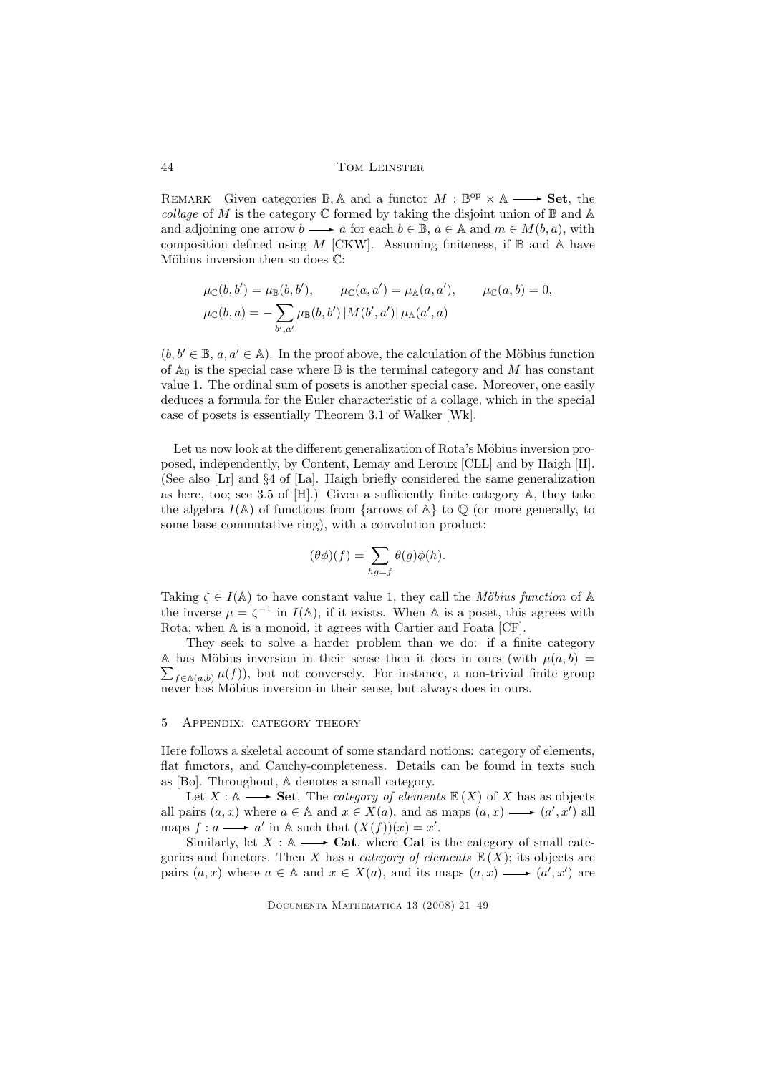REMARK Given categories  $\mathbb{B}$ ,  $\mathbb{A}$  and a functor  $M : \mathbb{B}^{op} \times \mathbb{A} \longrightarrow$  **Set**, the collage of M is the category  $\mathbb C$  formed by taking the disjoint union of  $\mathbb B$  and  $\mathbb A$ and adjoining one arrow  $b \longrightarrow a$  for each  $b \in \mathbb{B}$ ,  $a \in \mathbb{A}$  and  $m \in M(b, a)$ , with composition defined using  $M$  [CKW]. Assuming finiteness, if  $\mathbb B$  and A have Möbius inversion then so does  $\mathbb{C}$ :

$$
\mu_{\mathbb{C}}(b, b') = \mu_{\mathbb{B}}(b, b'), \qquad \mu_{\mathbb{C}}(a, a') = \mu_{\mathbb{A}}(a, a'), \qquad \mu_{\mathbb{C}}(a, b) = 0,
$$
  

$$
\mu_{\mathbb{C}}(b, a) = -\sum_{b', a'} \mu_{\mathbb{B}}(b, b') |M(b', a')| \mu_{\mathbb{A}}(a', a)
$$

 $(b, b' \in \mathbb{B}, a, a' \in \mathbb{A})$ . In the proof above, the calculation of the Möbius function of  $A_0$  is the special case where  $\mathbb B$  is the terminal category and M has constant value 1. The ordinal sum of posets is another special case. Moreover, one easily deduces a formula for the Euler characteristic of a collage, which in the special case of posets is essentially Theorem 3.1 of Walker [Wk].

Let us now look at the different generalization of Rota's Möbius inversion proposed, independently, by Content, Lemay and Leroux [CLL] and by Haigh [H]. (See also [Lr] and §4 of [La]. Haigh briefly considered the same generalization as here, too; see 3.5 of [H].) Given a sufficiently finite category A, they take the algebra  $I(\mathbb{A})$  of functions from {arrows of  $\mathbb{A}$ } to  $\mathbb{Q}$  (or more generally, to some base commutative ring), with a convolution product:

$$
(\theta \phi)(f) = \sum_{hg=f} \theta(g)\phi(h).
$$

Taking  $\zeta \in I(\mathbb{A})$  to have constant value 1, they call the Möbius function of A the inverse  $\mu = \zeta^{-1}$  in  $I(\mathbb{A})$ , if it exists. When A is a poset, this agrees with Rota; when A is a monoid, it agrees with Cartier and Foata [CF].

They seek to solve a harder problem than we do: if a finite category A has Möbius inversion in their sense then it does in ours (with  $\mu(a, b)$  =  $\sum_{f \in \mathbb{A}(a,b)} \mu(f)$ , but not conversely. For instance, a non-trivial finite group never has Möbius inversion in their sense, but always does in ours.

#### 5 Appendix: category theory

Here follows a skeletal account of some standard notions: category of elements, flat functors, and Cauchy-completeness. Details can be found in texts such as [Bo]. Throughout, A denotes a small category.

Let  $X : \mathbb{A} \longrightarrow$  Set. The *category of elements*  $\mathbb{E}(X)$  of X has as objects all pairs  $(a, x)$  where  $a \in A$  and  $x \in X(a)$ , and as maps  $(a, x) \longrightarrow (a', x')$  all maps  $f: a \longrightarrow a'$  in A such that  $(X(f))(x) = x'$ .

Similarly, let  $X : A \longrightarrow \mathbf{Cat}$ , where **Cat** is the category of small categories and functors. Then X has a *category of elements*  $E(X)$ ; its objects are pairs  $(a, x)$  where  $a \in A$  and  $x \in X(a)$ , and its maps  $(a, x) \longrightarrow (a', x')$  are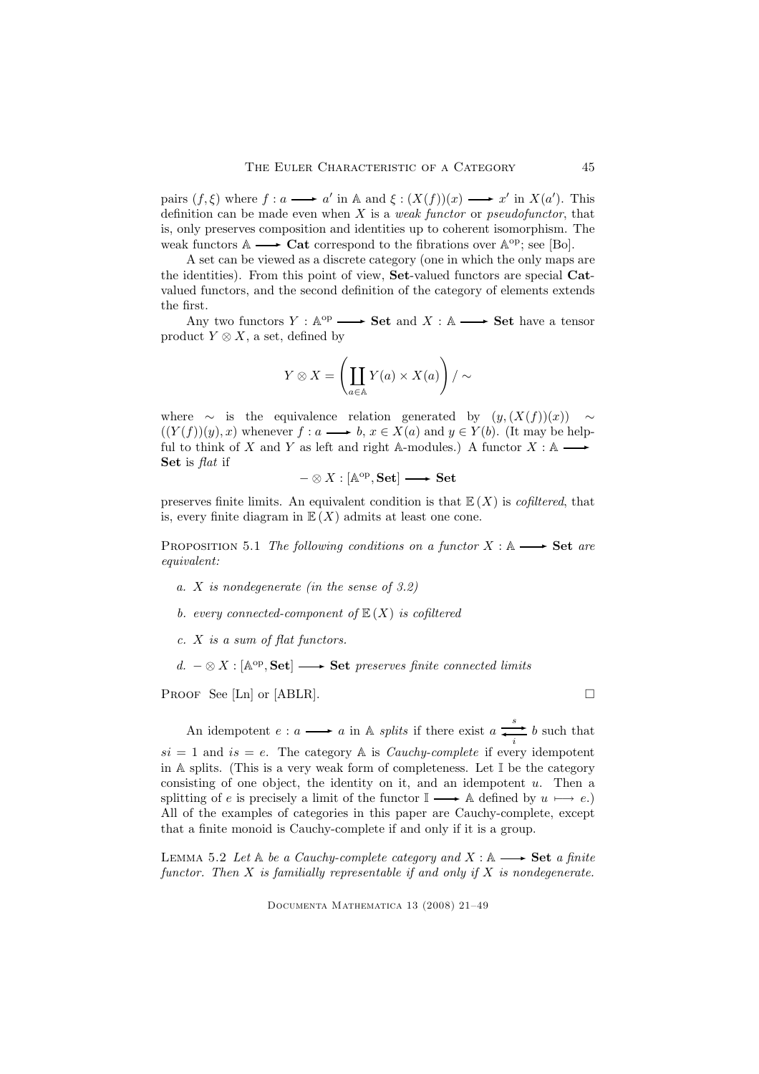pairs  $(f, \xi)$  where  $f : a \longrightarrow a'$  in A and  $\xi : (X(f))(x) \longrightarrow x'$  in  $X(a')$ . This definition can be made even when  $X$  is a *weak functor* or *pseudofunctor*, that is, only preserves composition and identities up to coherent isomorphism. The weak functors  $\mathbb{A} \longrightarrow \mathbf{Cat}$  correspond to the fibrations over  $\mathbb{A}^{\text{op}}$ ; see [Bo].

A set can be viewed as a discrete category (one in which the only maps are the identities). From this point of view, Set-valued functors are special Catvalued functors, and the second definition of the category of elements extends the first.

Any two functors  $Y : \mathbb{A}^{\text{op}} \longrightarrow \mathbf{Set}$  and  $X : \mathbb{A} \longrightarrow \mathbf{Set}$  have a tensor product  $Y \otimes X$ , a set, defined by

$$
Y \otimes X = \left(\coprod_{a \in \mathbb{A}} Y(a) \times X(a)\right) / \sim
$$

where  $\sim$  is the equivalence relation generated by  $(y,(X(f))(x)) \sim$  $((Y(f))(y), x)$  whenever  $f : a \longrightarrow b, x \in X(a)$  and  $y \in Y(b)$ . (It may be helpful to think of X and Y as left and right A-modules.) A functor  $X : A \rightarrow$ Set is *flat* if

$$
-\otimes X:[{\mathbb A}^{\rm op},{\bf Set}]\longrightarrow {\bf Set}
$$

preserves finite limits. An equivalent condition is that  $E(X)$  is *cofiltered*, that is, every finite diagram in  $\mathbb{E}(X)$  admits at least one cone.

PROPOSITION 5.1 The following conditions on a functor  $X : A \longrightarrow$  Set are equivalent:

- a. X is nondegenerate (in the sense of 3.2)
- b. every connected-component of  $E(X)$  is cofiltered
- c. X is a sum of flat functors.
- d.  $\otimes X$  : [A<sup>op</sup>, Set] → Set preserves finite connected limits

PROOF See [Ln] or [ABLR].  $\Box$ 

An idempotent  $e: a \longrightarrow a$  in A *splits* if there exist  $a \xrightarrow{i} b$  such that  $si = 1$  and  $is = e$ . The category A is *Cauchy-complete* if every idempotent in A splits. (This is a very weak form of completeness. Let  $\mathbb I$  be the category consisting of one object, the identity on it, and an idempotent u. Then a splitting of e is precisely a limit of the functor  $\mathbb{I} \longrightarrow \mathbb{A}$  defined by  $u \longmapsto e$ .) All of the examples of categories in this paper are Cauchy-complete, except that a finite monoid is Cauchy-complete if and only if it is a group.

LEMMA 5.2 Let  $\mathbb A$  be a Cauchy-complete category and  $X : \mathbb A \longrightarrow$  Set a finite functor. Then  $X$  is familially representable if and only if  $X$  is nondegenerate.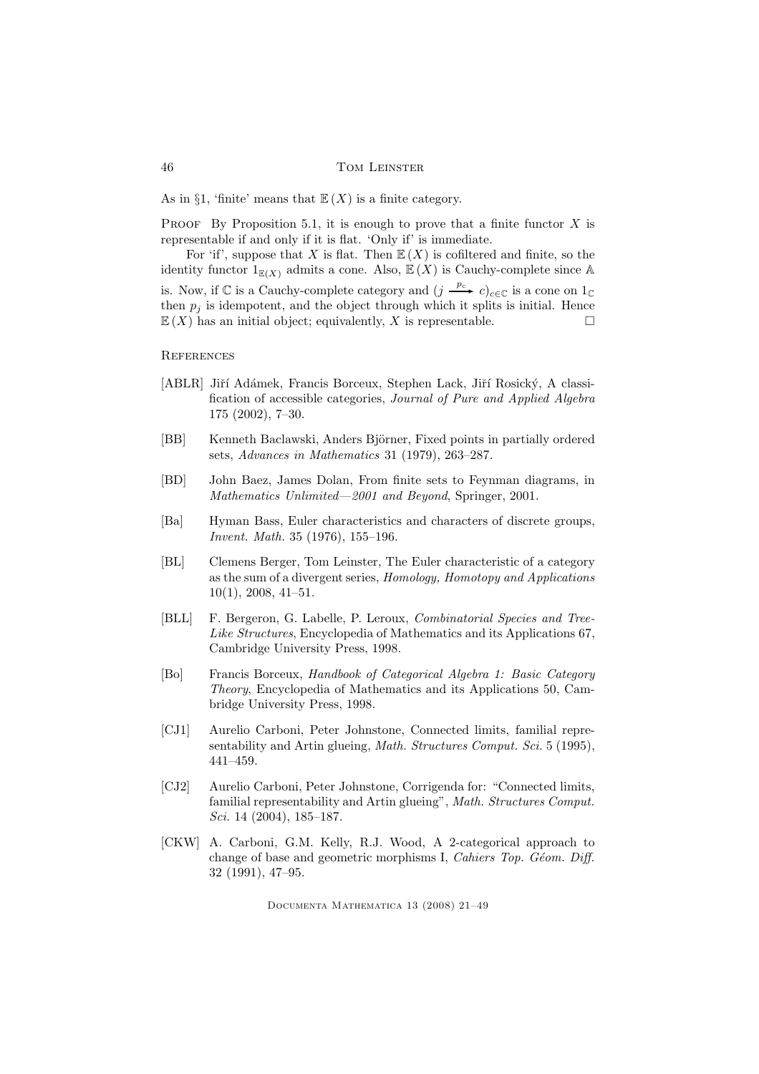As in §1, 'finite' means that  $\mathbb{E}(X)$  is a finite category.

**PROOF** By Proposition 5.1, it is enough to prove that a finite functor  $X$  is representable if and only if it is flat. 'Only if' is immediate.

For 'if', suppose that X is flat. Then  $\mathbb{E}(X)$  is cofiltered and finite, so the identity functor  $1_{\mathbb{E}(X)}$  admits a cone. Also,  $\mathbb{E}(X)$  is Cauchy-complete since A is. Now, if  $\mathbb C$  is a Cauchy-complete category and  $(j \xrightarrow{p_c} c)_{c \in \mathbb C}$  is a cone on  $1_{\mathbb C}$ then  $p_i$  is idempotent, and the object through which it splits is initial. Hence  $\mathbb{E}(X)$  has an initial object; equivalently, X is representable.

**REFERENCES** 

- [ABLR] Jiří Adámek, Francis Borceux, Stephen Lack, Jiří Rosický, A classification of accessible categories, Journal of Pure and Applied Algebra 175 (2002), 7–30.
- [BB] Kenneth Baclawski, Anders Björner, Fixed points in partially ordered sets, Advances in Mathematics 31 (1979), 263–287.
- [BD] John Baez, James Dolan, From finite sets to Feynman diagrams, in Mathematics Unlimited—2001 and Beyond, Springer, 2001.
- [Ba] Hyman Bass, Euler characteristics and characters of discrete groups, Invent. Math. 35 (1976), 155–196.
- [BL] Clemens Berger, Tom Leinster, The Euler characteristic of a category as the sum of a divergent series, Homology, Homotopy and Applications 10(1), 2008, 41–51.
- [BLL] F. Bergeron, G. Labelle, P. Leroux, Combinatorial Species and Tree-Like Structures, Encyclopedia of Mathematics and its Applications 67, Cambridge University Press, 1998.
- [Bo] Francis Borceux, Handbook of Categorical Algebra 1: Basic Category Theory, Encyclopedia of Mathematics and its Applications 50, Cambridge University Press, 1998.
- [CJ1] Aurelio Carboni, Peter Johnstone, Connected limits, familial representability and Artin glueing, *Math. Structures Comput. Sci.* 5 (1995), 441–459.
- [CJ2] Aurelio Carboni, Peter Johnstone, Corrigenda for: "Connected limits, familial representability and Artin glueing", Math. Structures Comput. Sci. 14 (2004), 185–187.
- [CKW] A. Carboni, G.M. Kelly, R.J. Wood, A 2-categorical approach to change of base and geometric morphisms I, Cahiers Top. Géom. Diff. 32 (1991), 47–95.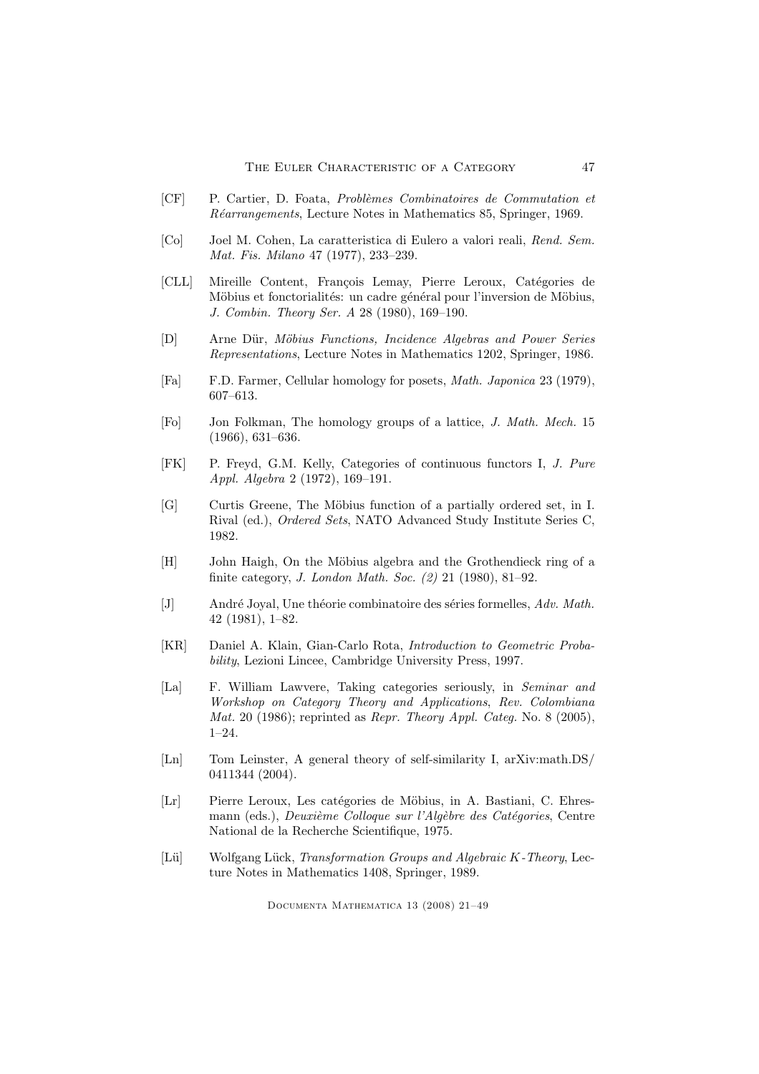- [CF] P. Cartier, D. Foata, Problèmes Combinatoires de Commutation et Réarrangements, Lecture Notes in Mathematics 85, Springer, 1969.
- [Co] Joel M. Cohen, La caratteristica di Eulero a valori reali, Rend. Sem. Mat. Fis. Milano 47 (1977), 233–239.
- [CLL] Mireille Content, François Lemay, Pierre Leroux, Catégories de Möbius et fonctorialités: un cadre général pour l'inversion de Möbius, J. Combin. Theory Ser. A 28 (1980), 169–190.
- [D] Arne Dür, Möbius Functions, Incidence Algebras and Power Series Representations, Lecture Notes in Mathematics 1202, Springer, 1986.
- [Fa] F.D. Farmer, Cellular homology for posets, Math. Japonica 23 (1979), 607–613.
- [Fo] Jon Folkman, The homology groups of a lattice, J. Math. Mech. 15 (1966), 631–636.
- [FK] P. Freyd, G.M. Kelly, Categories of continuous functors I, J. Pure Appl. Algebra 2 (1972), 169–191.
- [G] Curtis Greene, The Möbius function of a partially ordered set, in I. Rival (ed.), Ordered Sets, NATO Advanced Study Institute Series C, 1982.
- [H] John Haigh, On the Möbius algebra and the Grothendieck ring of a finite category, J. London Math. Soc. (2) 21 (1980), 81–92.
- $[J]$  André Joyal, Une théorie combinatoire des séries formelles, Adv. Math. 42 (1981), 1–82.
- [KR] Daniel A. Klain, Gian-Carlo Rota, Introduction to Geometric Probability, Lezioni Lincee, Cambridge University Press, 1997.
- [La] F. William Lawvere, Taking categories seriously, in Seminar and Workshop on Category Theory and Applications, Rev. Colombiana Mat. 20 (1986); reprinted as Repr. Theory Appl. Categ. No. 8 (2005), 1–24.
- [Ln] Tom Leinster, A general theory of self-similarity I, arXiv:math.DS/ 0411344 (2004).
- [Lr] Pierre Leroux, Les catégories de Möbius, in A. Bastiani, C. Ehresmann (eds.), Deuxième Colloque sur l'Algèbre des Catégories, Centre National de la Recherche Scientifique, 1975.
- [Lü] Wolfgang Lück, Transformation Groups and Algebraic K-Theory, Lecture Notes in Mathematics 1408, Springer, 1989.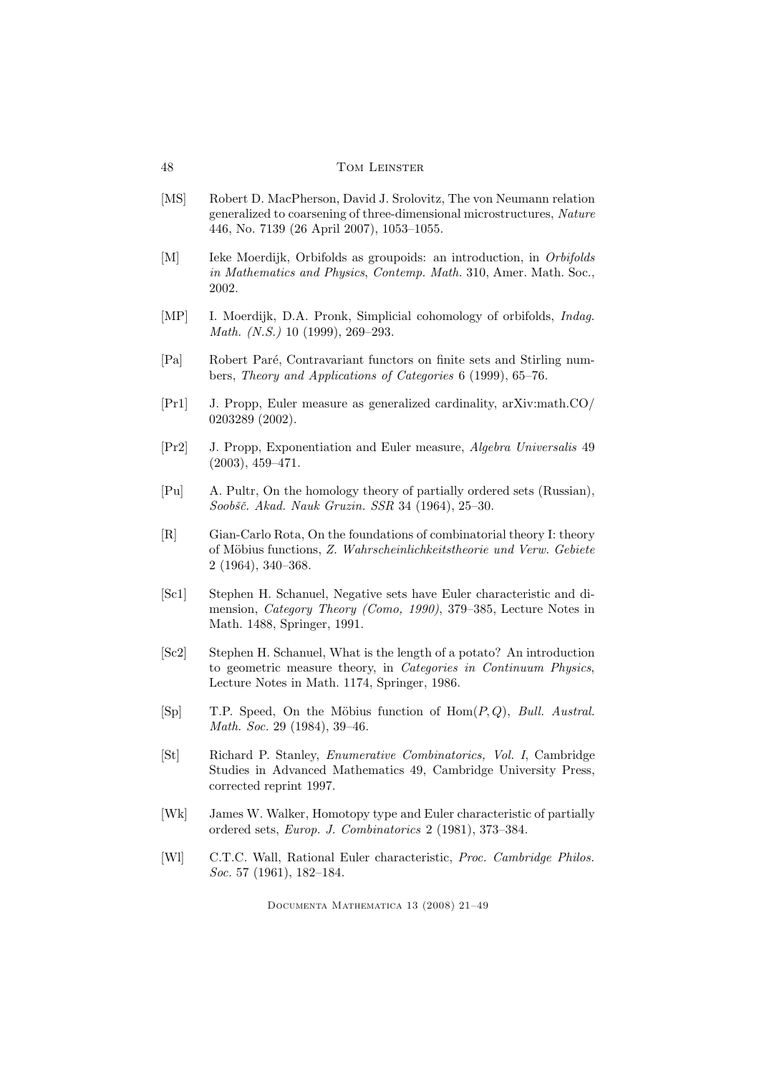- [MS] Robert D. MacPherson, David J. Srolovitz, The von Neumann relation generalized to coarsening of three-dimensional microstructures, Nature 446, No. 7139 (26 April 2007), 1053–1055.
- [M] Ieke Moerdijk, Orbifolds as groupoids: an introduction, in Orbifolds in Mathematics and Physics, Contemp. Math. 310, Amer. Math. Soc., 2002.
- [MP] I. Moerdijk, D.A. Pronk, Simplicial cohomology of orbifolds, *Indag.* Math. (N.S.) 10 (1999), 269–293.
- [Pa] Robert Paré, Contravariant functors on finite sets and Stirling numbers, Theory and Applications of Categories 6 (1999), 65–76.
- [Pr1] J. Propp, Euler measure as generalized cardinality, arXiv:math.CO/ 0203289 (2002).
- [Pr2] J. Propp, Exponentiation and Euler measure, Algebra Universalis 49 (2003), 459–471.
- [Pu] A. Pultr, On the homology theory of partially ordered sets (Russian), Soobšč. Akad. Nauk Gruzin. SSR 34 (1964), 25-30.
- [R] Gian-Carlo Rota, On the foundations of combinatorial theory I: theory of Möbius functions, Z. Wahrscheinlichkeitstheorie und Verw. Gebiete 2 (1964), 340–368.
- [Sc1] Stephen H. Schanuel, Negative sets have Euler characteristic and dimension, Category Theory (Como, 1990), 379–385, Lecture Notes in Math. 1488, Springer, 1991.
- [Sc2] Stephen H. Schanuel, What is the length of a potato? An introduction to geometric measure theory, in Categories in Continuum Physics, Lecture Notes in Math. 1174, Springer, 1986.
- [Sp] T.P. Speed, On the Möbius function of  $Hom(P,Q)$ , Bull. Austral. Math. Soc. 29 (1984), 39–46.
- [St] Richard P. Stanley, Enumerative Combinatorics, Vol. I, Cambridge Studies in Advanced Mathematics 49, Cambridge University Press, corrected reprint 1997.
- [Wk] James W. Walker, Homotopy type and Euler characteristic of partially ordered sets, Europ. J. Combinatorics 2 (1981), 373–384.
- [Wl] C.T.C. Wall, Rational Euler characteristic, Proc. Cambridge Philos. Soc. 57 (1961), 182-184.